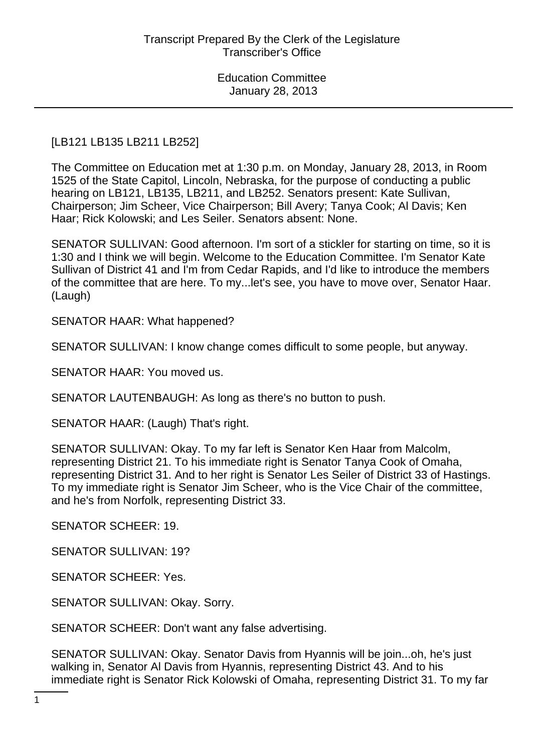# [LB121 LB135 LB211 LB252]

The Committee on Education met at 1:30 p.m. on Monday, January 28, 2013, in Room 1525 of the State Capitol, Lincoln, Nebraska, for the purpose of conducting a public hearing on LB121, LB135, LB211, and LB252. Senators present: Kate Sullivan, Chairperson; Jim Scheer, Vice Chairperson; Bill Avery; Tanya Cook; Al Davis; Ken Haar; Rick Kolowski; and Les Seiler. Senators absent: None.

SENATOR SULLIVAN: Good afternoon. I'm sort of a stickler for starting on time, so it is 1:30 and I think we will begin. Welcome to the Education Committee. I'm Senator Kate Sullivan of District 41 and I'm from Cedar Rapids, and I'd like to introduce the members of the committee that are here. To my...let's see, you have to move over, Senator Haar. (Laugh)

SENATOR HAAR: What happened?

SENATOR SULLIVAN: I know change comes difficult to some people, but anyway.

SENATOR HAAR: You moved us.

SENATOR LAUTENBAUGH: As long as there's no button to push.

SENATOR HAAR: (Laugh) That's right.

SENATOR SULLIVAN: Okay. To my far left is Senator Ken Haar from Malcolm, representing District 21. To his immediate right is Senator Tanya Cook of Omaha, representing District 31. And to her right is Senator Les Seiler of District 33 of Hastings. To my immediate right is Senator Jim Scheer, who is the Vice Chair of the committee, and he's from Norfolk, representing District 33.

SENATOR SCHEER: 19.

SENATOR SULLIVAN: 19?

SENATOR SCHEER: Yes.

SENATOR SULLIVAN: Okay. Sorry.

SENATOR SCHEER: Don't want any false advertising.

SENATOR SULLIVAN: Okay. Senator Davis from Hyannis will be join...oh, he's just walking in, Senator Al Davis from Hyannis, representing District 43. And to his immediate right is Senator Rick Kolowski of Omaha, representing District 31. To my far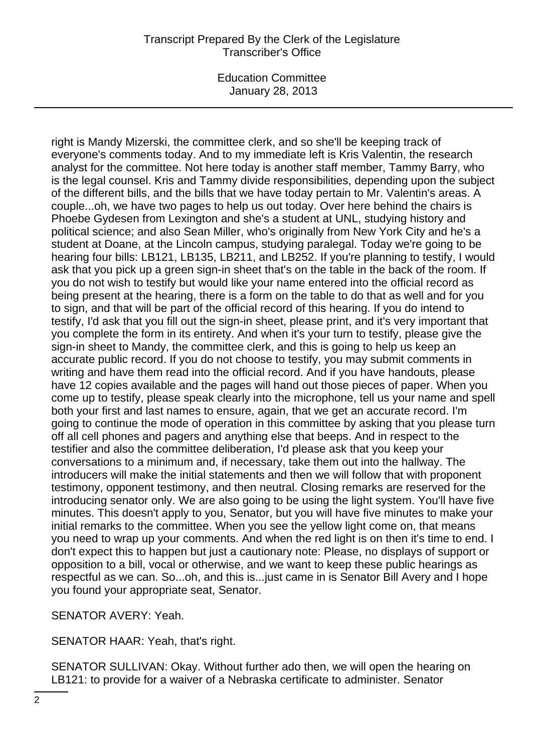#### Transcript Prepared By the Clerk of the Legislature Transcriber's Office

Education Committee January 28, 2013

right is Mandy Mizerski, the committee clerk, and so she'll be keeping track of everyone's comments today. And to my immediate left is Kris Valentin, the research analyst for the committee. Not here today is another staff member, Tammy Barry, who is the legal counsel. Kris and Tammy divide responsibilities, depending upon the subject of the different bills, and the bills that we have today pertain to Mr. Valentin's areas. A couple...oh, we have two pages to help us out today. Over here behind the chairs is Phoebe Gydesen from Lexington and she's a student at UNL, studying history and political science; and also Sean Miller, who's originally from New York City and he's a student at Doane, at the Lincoln campus, studying paralegal. Today we're going to be hearing four bills: LB121, LB135, LB211, and LB252. If you're planning to testify, I would ask that you pick up a green sign-in sheet that's on the table in the back of the room. If you do not wish to testify but would like your name entered into the official record as being present at the hearing, there is a form on the table to do that as well and for you to sign, and that will be part of the official record of this hearing. If you do intend to testify, I'd ask that you fill out the sign-in sheet, please print, and it's very important that you complete the form in its entirety. And when it's your turn to testify, please give the sign-in sheet to Mandy, the committee clerk, and this is going to help us keep an accurate public record. If you do not choose to testify, you may submit comments in writing and have them read into the official record. And if you have handouts, please have 12 copies available and the pages will hand out those pieces of paper. When you come up to testify, please speak clearly into the microphone, tell us your name and spell both your first and last names to ensure, again, that we get an accurate record. I'm going to continue the mode of operation in this committee by asking that you please turn off all cell phones and pagers and anything else that beeps. And in respect to the testifier and also the committee deliberation, I'd please ask that you keep your conversations to a minimum and, if necessary, take them out into the hallway. The introducers will make the initial statements and then we will follow that with proponent testimony, opponent testimony, and then neutral. Closing remarks are reserved for the introducing senator only. We are also going to be using the light system. You'll have five minutes. This doesn't apply to you, Senator, but you will have five minutes to make your initial remarks to the committee. When you see the yellow light come on, that means you need to wrap up your comments. And when the red light is on then it's time to end. I don't expect this to happen but just a cautionary note: Please, no displays of support or opposition to a bill, vocal or otherwise, and we want to keep these public hearings as respectful as we can. So...oh, and this is...just came in is Senator Bill Avery and I hope you found your appropriate seat, Senator.

SENATOR AVERY: Yeah.

SENATOR HAAR: Yeah, that's right.

SENATOR SULLIVAN: Okay. Without further ado then, we will open the hearing on LB121: to provide for a waiver of a Nebraska certificate to administer. Senator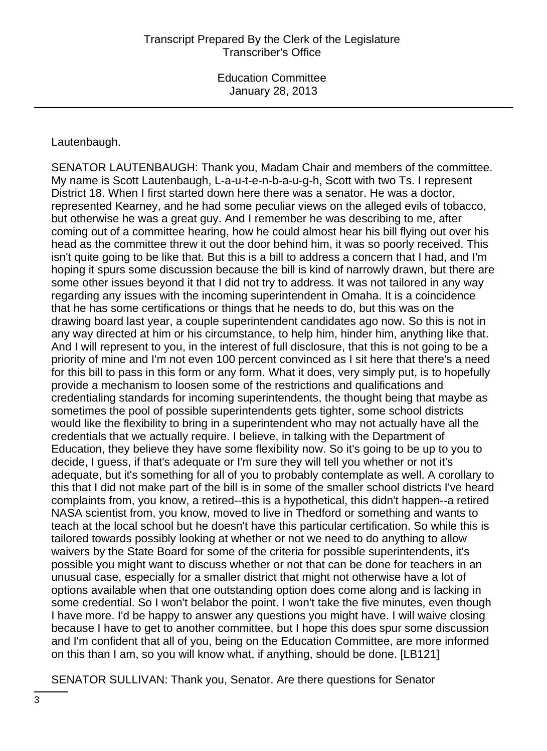#### Lautenbaugh.

SENATOR LAUTENBAUGH: Thank you, Madam Chair and members of the committee. My name is Scott Lautenbaugh, L-a-u-t-e-n-b-a-u-g-h, Scott with two Ts. I represent District 18. When I first started down here there was a senator. He was a doctor, represented Kearney, and he had some peculiar views on the alleged evils of tobacco, but otherwise he was a great guy. And I remember he was describing to me, after coming out of a committee hearing, how he could almost hear his bill flying out over his head as the committee threw it out the door behind him, it was so poorly received. This isn't quite going to be like that. But this is a bill to address a concern that I had, and I'm hoping it spurs some discussion because the bill is kind of narrowly drawn, but there are some other issues beyond it that I did not try to address. It was not tailored in any way regarding any issues with the incoming superintendent in Omaha. It is a coincidence that he has some certifications or things that he needs to do, but this was on the drawing board last year, a couple superintendent candidates ago now. So this is not in any way directed at him or his circumstance, to help him, hinder him, anything like that. And I will represent to you, in the interest of full disclosure, that this is not going to be a priority of mine and I'm not even 100 percent convinced as I sit here that there's a need for this bill to pass in this form or any form. What it does, very simply put, is to hopefully provide a mechanism to loosen some of the restrictions and qualifications and credentialing standards for incoming superintendents, the thought being that maybe as sometimes the pool of possible superintendents gets tighter, some school districts would like the flexibility to bring in a superintendent who may not actually have all the credentials that we actually require. I believe, in talking with the Department of Education, they believe they have some flexibility now. So it's going to be up to you to decide, I guess, if that's adequate or I'm sure they will tell you whether or not it's adequate, but it's something for all of you to probably contemplate as well. A corollary to this that I did not make part of the bill is in some of the smaller school districts I've heard complaints from, you know, a retired--this is a hypothetical, this didn't happen--a retired NASA scientist from, you know, moved to live in Thedford or something and wants to teach at the local school but he doesn't have this particular certification. So while this is tailored towards possibly looking at whether or not we need to do anything to allow waivers by the State Board for some of the criteria for possible superintendents, it's possible you might want to discuss whether or not that can be done for teachers in an unusual case, especially for a smaller district that might not otherwise have a lot of options available when that one outstanding option does come along and is lacking in some credential. So I won't belabor the point. I won't take the five minutes, even though I have more. I'd be happy to answer any questions you might have. I will waive closing because I have to get to another committee, but I hope this does spur some discussion and I'm confident that all of you, being on the Education Committee, are more informed on this than I am, so you will know what, if anything, should be done. [LB121]

SENATOR SULLIVAN: Thank you, Senator. Are there questions for Senator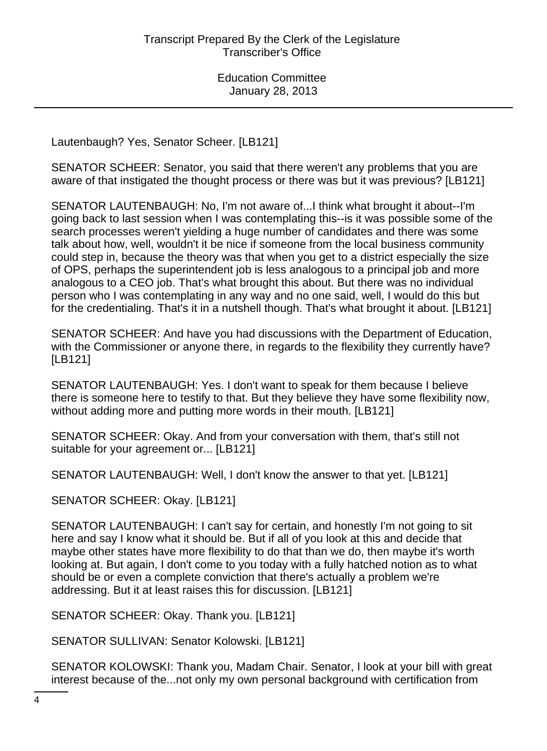Lautenbaugh? Yes, Senator Scheer. [LB121]

SENATOR SCHEER: Senator, you said that there weren't any problems that you are aware of that instigated the thought process or there was but it was previous? [LB121]

SENATOR LAUTENBAUGH: No, I'm not aware of...I think what brought it about--I'm going back to last session when I was contemplating this--is it was possible some of the search processes weren't yielding a huge number of candidates and there was some talk about how, well, wouldn't it be nice if someone from the local business community could step in, because the theory was that when you get to a district especially the size of OPS, perhaps the superintendent job is less analogous to a principal job and more analogous to a CEO job. That's what brought this about. But there was no individual person who I was contemplating in any way and no one said, well, I would do this but for the credentialing. That's it in a nutshell though. That's what brought it about. [LB121]

SENATOR SCHEER: And have you had discussions with the Department of Education, with the Commissioner or anyone there, in regards to the flexibility they currently have? [LB121]

SENATOR LAUTENBAUGH: Yes. I don't want to speak for them because I believe there is someone here to testify to that. But they believe they have some flexibility now, without adding more and putting more words in their mouth. [LB121]

SENATOR SCHEER: Okay. And from your conversation with them, that's still not suitable for your agreement or... [LB121]

SENATOR LAUTENBAUGH: Well, I don't know the answer to that yet. [LB121]

SENATOR SCHEER: Okay. [LB121]

SENATOR LAUTENBAUGH: I can't say for certain, and honestly I'm not going to sit here and say I know what it should be. But if all of you look at this and decide that maybe other states have more flexibility to do that than we do, then maybe it's worth looking at. But again, I don't come to you today with a fully hatched notion as to what should be or even a complete conviction that there's actually a problem we're addressing. But it at least raises this for discussion. [LB121]

SENATOR SCHEER: Okay. Thank you. [LB121]

SENATOR SULLIVAN: Senator Kolowski. [LB121]

SENATOR KOLOWSKI: Thank you, Madam Chair. Senator, I look at your bill with great interest because of the...not only my own personal background with certification from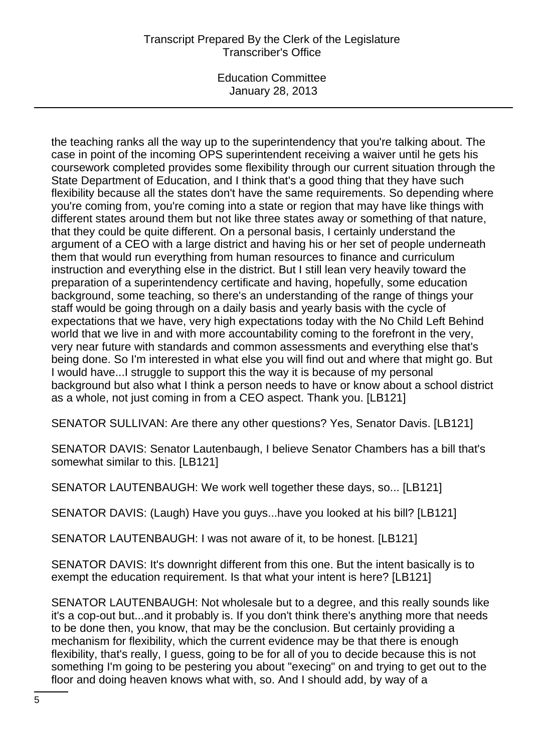# Transcript Prepared By the Clerk of the Legislature Transcriber's Office

Education Committee January 28, 2013

the teaching ranks all the way up to the superintendency that you're talking about. The case in point of the incoming OPS superintendent receiving a waiver until he gets his coursework completed provides some flexibility through our current situation through the State Department of Education, and I think that's a good thing that they have such flexibility because all the states don't have the same requirements. So depending where you're coming from, you're coming into a state or region that may have like things with different states around them but not like three states away or something of that nature, that they could be quite different. On a personal basis, I certainly understand the argument of a CEO with a large district and having his or her set of people underneath them that would run everything from human resources to finance and curriculum instruction and everything else in the district. But I still lean very heavily toward the preparation of a superintendency certificate and having, hopefully, some education background, some teaching, so there's an understanding of the range of things your staff would be going through on a daily basis and yearly basis with the cycle of expectations that we have, very high expectations today with the No Child Left Behind world that we live in and with more accountability coming to the forefront in the very, very near future with standards and common assessments and everything else that's being done. So I'm interested in what else you will find out and where that might go. But I would have...I struggle to support this the way it is because of my personal background but also what I think a person needs to have or know about a school district as a whole, not just coming in from a CEO aspect. Thank you. [LB121]

SENATOR SULLIVAN: Are there any other questions? Yes, Senator Davis. [LB121]

SENATOR DAVIS: Senator Lautenbaugh, I believe Senator Chambers has a bill that's somewhat similar to this. [LB121]

SENATOR LAUTENBAUGH: We work well together these days, so... [LB121]

SENATOR DAVIS: (Laugh) Have you guys...have you looked at his bill? [LB121]

SENATOR LAUTENBAUGH: I was not aware of it, to be honest. [LB121]

SENATOR DAVIS: It's downright different from this one. But the intent basically is to exempt the education requirement. Is that what your intent is here? [LB121]

SENATOR LAUTENBAUGH: Not wholesale but to a degree, and this really sounds like it's a cop-out but...and it probably is. If you don't think there's anything more that needs to be done then, you know, that may be the conclusion. But certainly providing a mechanism for flexibility, which the current evidence may be that there is enough flexibility, that's really, I guess, going to be for all of you to decide because this is not something I'm going to be pestering you about "execing" on and trying to get out to the floor and doing heaven knows what with, so. And I should add, by way of a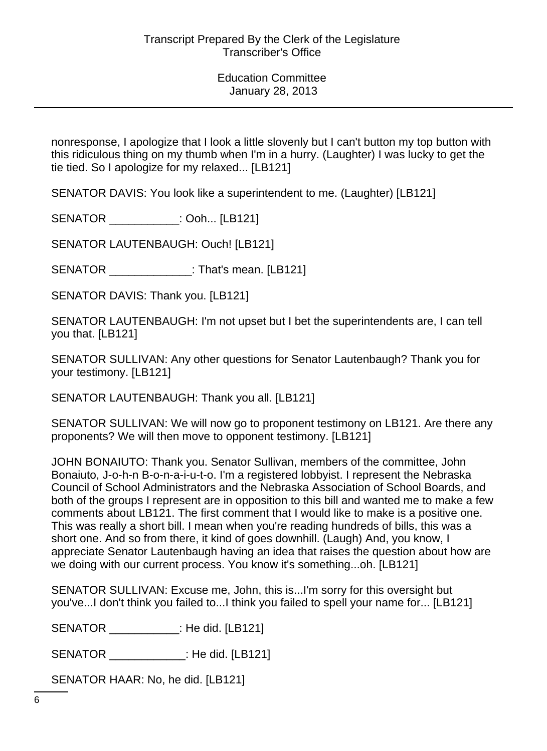nonresponse, I apologize that I look a little slovenly but I can't button my top button with this ridiculous thing on my thumb when I'm in a hurry. (Laughter) I was lucky to get the tie tied. So I apologize for my relaxed... [LB121]

SENATOR DAVIS: You look like a superintendent to me. (Laughter) [LB121]

SENATOR : Ooh... [LB121]

SENATOR LAUTENBAUGH: Ouch! [LB121]

SENATOR : That's mean. [LB121]

SENATOR DAVIS: Thank you. [LB121]

SENATOR LAUTENBAUGH: I'm not upset but I bet the superintendents are, I can tell you that. [LB121]

SENATOR SULLIVAN: Any other questions for Senator Lautenbaugh? Thank you for your testimony. [LB121]

SENATOR LAUTENBAUGH: Thank you all. [LB121]

SENATOR SULLIVAN: We will now go to proponent testimony on LB121. Are there any proponents? We will then move to opponent testimony. [LB121]

JOHN BONAIUTO: Thank you. Senator Sullivan, members of the committee, John Bonaiuto, J-o-h-n B-o-n-a-i-u-t-o. I'm a registered lobbyist. I represent the Nebraska Council of School Administrators and the Nebraska Association of School Boards, and both of the groups I represent are in opposition to this bill and wanted me to make a few comments about LB121. The first comment that I would like to make is a positive one. This was really a short bill. I mean when you're reading hundreds of bills, this was a short one. And so from there, it kind of goes downhill. (Laugh) And, you know, I appreciate Senator Lautenbaugh having an idea that raises the question about how are we doing with our current process. You know it's something...oh. [LB121]

SENATOR SULLIVAN: Excuse me, John, this is...I'm sorry for this oversight but you've...I don't think you failed to...I think you failed to spell your name for... [LB121]

SENATOR \_\_\_\_\_\_\_\_\_\_\_: He did. [LB121]

SENATOR \_\_\_\_\_\_\_\_\_\_\_\_: He did. [LB121]

SENATOR HAAR: No, he did. [LB121]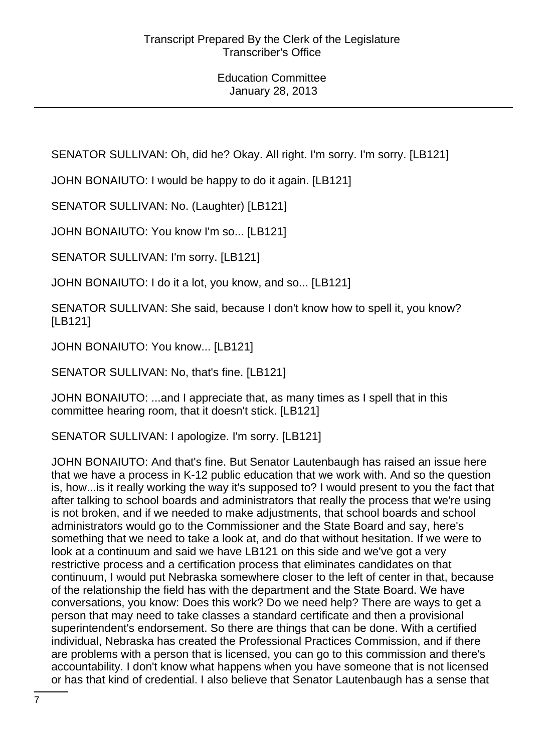SENATOR SULLIVAN: Oh, did he? Okay. All right. I'm sorry. I'm sorry. [LB121]

JOHN BONAIUTO: I would be happy to do it again. [LB121]

SENATOR SULLIVAN: No. (Laughter) [LB121]

JOHN BONAIUTO: You know I'm so... [LB121]

SENATOR SULLIVAN: I'm sorry. [LB121]

JOHN BONAIUTO: I do it a lot, you know, and so... [LB121]

SENATOR SULLIVAN: She said, because I don't know how to spell it, you know? [LB121]

JOHN BONAIUTO: You know... [LB121]

SENATOR SULLIVAN: No, that's fine. [LB121]

JOHN BONAIUTO: ...and I appreciate that, as many times as I spell that in this committee hearing room, that it doesn't stick. [LB121]

SENATOR SULLIVAN: I apologize. I'm sorry. [LB121]

JOHN BONAIUTO: And that's fine. But Senator Lautenbaugh has raised an issue here that we have a process in K-12 public education that we work with. And so the question is, how...is it really working the way it's supposed to? I would present to you the fact that after talking to school boards and administrators that really the process that we're using is not broken, and if we needed to make adjustments, that school boards and school administrators would go to the Commissioner and the State Board and say, here's something that we need to take a look at, and do that without hesitation. If we were to look at a continuum and said we have LB121 on this side and we've got a very restrictive process and a certification process that eliminates candidates on that continuum, I would put Nebraska somewhere closer to the left of center in that, because of the relationship the field has with the department and the State Board. We have conversations, you know: Does this work? Do we need help? There are ways to get a person that may need to take classes a standard certificate and then a provisional superintendent's endorsement. So there are things that can be done. With a certified individual, Nebraska has created the Professional Practices Commission, and if there are problems with a person that is licensed, you can go to this commission and there's accountability. I don't know what happens when you have someone that is not licensed or has that kind of credential. I also believe that Senator Lautenbaugh has a sense that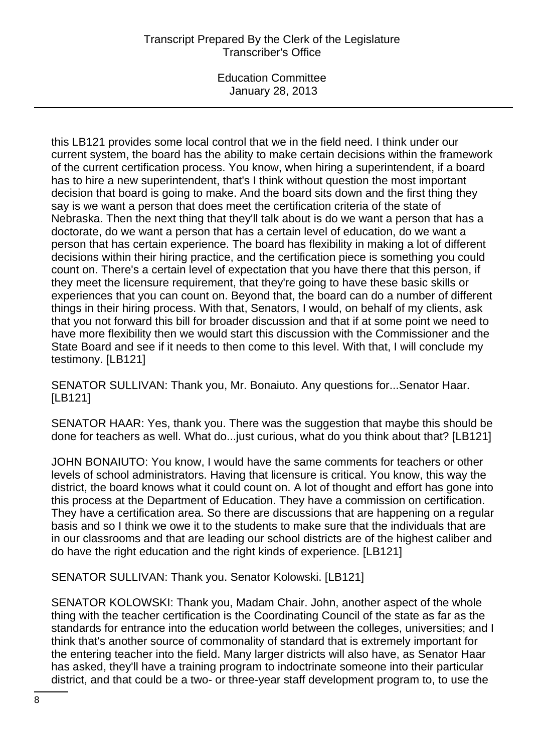# Transcript Prepared By the Clerk of the Legislature Transcriber's Office

Education Committee January 28, 2013

this LB121 provides some local control that we in the field need. I think under our current system, the board has the ability to make certain decisions within the framework of the current certification process. You know, when hiring a superintendent, if a board has to hire a new superintendent, that's I think without question the most important decision that board is going to make. And the board sits down and the first thing they say is we want a person that does meet the certification criteria of the state of Nebraska. Then the next thing that they'll talk about is do we want a person that has a doctorate, do we want a person that has a certain level of education, do we want a person that has certain experience. The board has flexibility in making a lot of different decisions within their hiring practice, and the certification piece is something you could count on. There's a certain level of expectation that you have there that this person, if they meet the licensure requirement, that they're going to have these basic skills or experiences that you can count on. Beyond that, the board can do a number of different things in their hiring process. With that, Senators, I would, on behalf of my clients, ask that you not forward this bill for broader discussion and that if at some point we need to have more flexibility then we would start this discussion with the Commissioner and the State Board and see if it needs to then come to this level. With that, I will conclude my testimony. [LB121]

SENATOR SULLIVAN: Thank you, Mr. Bonaiuto. Any questions for...Senator Haar. [LB121]

SENATOR HAAR: Yes, thank you. There was the suggestion that maybe this should be done for teachers as well. What do...just curious, what do you think about that? [LB121]

JOHN BONAIUTO: You know, I would have the same comments for teachers or other levels of school administrators. Having that licensure is critical. You know, this way the district, the board knows what it could count on. A lot of thought and effort has gone into this process at the Department of Education. They have a commission on certification. They have a certification area. So there are discussions that are happening on a regular basis and so I think we owe it to the students to make sure that the individuals that are in our classrooms and that are leading our school districts are of the highest caliber and do have the right education and the right kinds of experience. [LB121]

SENATOR SULLIVAN: Thank you. Senator Kolowski. [LB121]

SENATOR KOLOWSKI: Thank you, Madam Chair. John, another aspect of the whole thing with the teacher certification is the Coordinating Council of the state as far as the standards for entrance into the education world between the colleges, universities; and I think that's another source of commonality of standard that is extremely important for the entering teacher into the field. Many larger districts will also have, as Senator Haar has asked, they'll have a training program to indoctrinate someone into their particular district, and that could be a two- or three-year staff development program to, to use the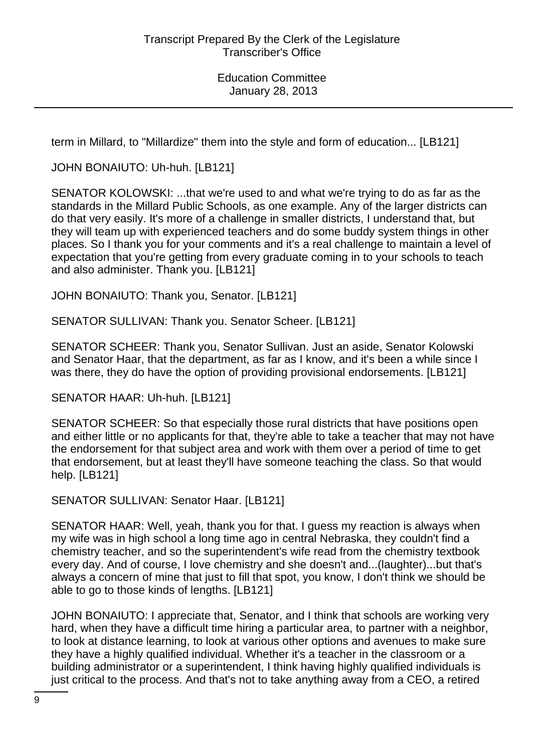term in Millard, to "Millardize" them into the style and form of education... [LB121]

JOHN BONAIUTO: Uh-huh. [LB121]

SENATOR KOLOWSKI: ...that we're used to and what we're trying to do as far as the standards in the Millard Public Schools, as one example. Any of the larger districts can do that very easily. It's more of a challenge in smaller districts, I understand that, but they will team up with experienced teachers and do some buddy system things in other places. So I thank you for your comments and it's a real challenge to maintain a level of expectation that you're getting from every graduate coming in to your schools to teach and also administer. Thank you. [LB121]

JOHN BONAIUTO: Thank you, Senator. [LB121]

SENATOR SULLIVAN: Thank you. Senator Scheer. [LB121]

SENATOR SCHEER: Thank you, Senator Sullivan. Just an aside, Senator Kolowski and Senator Haar, that the department, as far as I know, and it's been a while since I was there, they do have the option of providing provisional endorsements. [LB121]

SENATOR HAAR: Uh-huh. [LB121]

SENATOR SCHEER: So that especially those rural districts that have positions open and either little or no applicants for that, they're able to take a teacher that may not have the endorsement for that subject area and work with them over a period of time to get that endorsement, but at least they'll have someone teaching the class. So that would help. [LB121]

SENATOR SULLIVAN: Senator Haar. [LB121]

SENATOR HAAR: Well, yeah, thank you for that. I guess my reaction is always when my wife was in high school a long time ago in central Nebraska, they couldn't find a chemistry teacher, and so the superintendent's wife read from the chemistry textbook every day. And of course, I love chemistry and she doesn't and...(laughter)...but that's always a concern of mine that just to fill that spot, you know, I don't think we should be able to go to those kinds of lengths. [LB121]

JOHN BONAIUTO: I appreciate that, Senator, and I think that schools are working very hard, when they have a difficult time hiring a particular area, to partner with a neighbor, to look at distance learning, to look at various other options and avenues to make sure they have a highly qualified individual. Whether it's a teacher in the classroom or a building administrator or a superintendent, I think having highly qualified individuals is just critical to the process. And that's not to take anything away from a CEO, a retired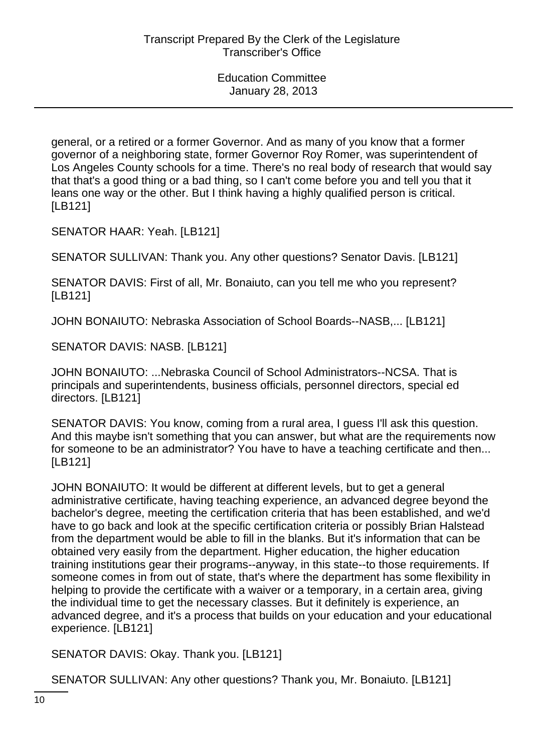general, or a retired or a former Governor. And as many of you know that a former governor of a neighboring state, former Governor Roy Romer, was superintendent of Los Angeles County schools for a time. There's no real body of research that would say that that's a good thing or a bad thing, so I can't come before you and tell you that it leans one way or the other. But I think having a highly qualified person is critical. [LB121]

SENATOR HAAR: Yeah. [LB121]

SENATOR SULLIVAN: Thank you. Any other questions? Senator Davis. [LB121]

SENATOR DAVIS: First of all, Mr. Bonaiuto, can you tell me who you represent? [LB121]

JOHN BONAIUTO: Nebraska Association of School Boards--NASB,... [LB121]

SENATOR DAVIS: NASB. [LB121]

JOHN BONAIUTO: ...Nebraska Council of School Administrators--NCSA. That is principals and superintendents, business officials, personnel directors, special ed directors. [LB121]

SENATOR DAVIS: You know, coming from a rural area, I guess I'll ask this question. And this maybe isn't something that you can answer, but what are the requirements now for someone to be an administrator? You have to have a teaching certificate and then... [LB121]

JOHN BONAIUTO: It would be different at different levels, but to get a general administrative certificate, having teaching experience, an advanced degree beyond the bachelor's degree, meeting the certification criteria that has been established, and we'd have to go back and look at the specific certification criteria or possibly Brian Halstead from the department would be able to fill in the blanks. But it's information that can be obtained very easily from the department. Higher education, the higher education training institutions gear their programs--anyway, in this state--to those requirements. If someone comes in from out of state, that's where the department has some flexibility in helping to provide the certificate with a waiver or a temporary, in a certain area, giving the individual time to get the necessary classes. But it definitely is experience, an advanced degree, and it's a process that builds on your education and your educational experience. [LB121]

SENATOR DAVIS: Okay. Thank you. [LB121]

SENATOR SULLIVAN: Any other questions? Thank you, Mr. Bonaiuto. [LB121]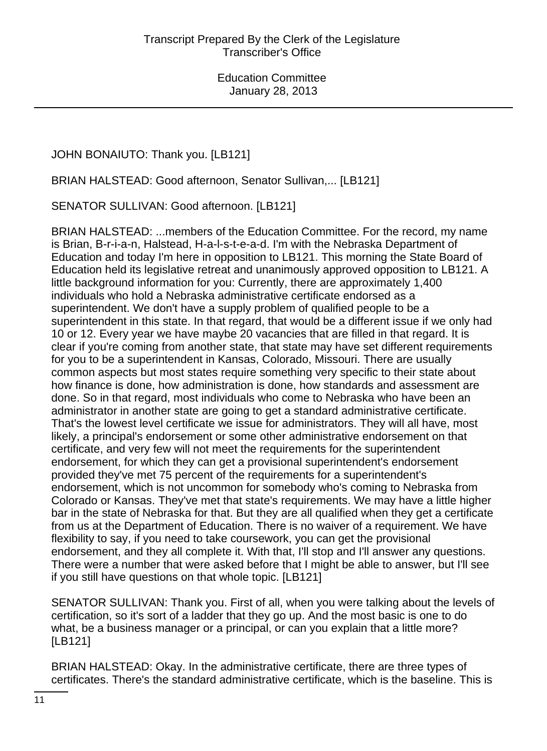JOHN BONAIUTO: Thank you. [LB121]

BRIAN HALSTEAD: Good afternoon, Senator Sullivan,... [LB121]

SENATOR SULLIVAN: Good afternoon. [LB121]

BRIAN HALSTEAD: ...members of the Education Committee. For the record, my name is Brian, B-r-i-a-n, Halstead, H-a-l-s-t-e-a-d. I'm with the Nebraska Department of Education and today I'm here in opposition to LB121. This morning the State Board of Education held its legislative retreat and unanimously approved opposition to LB121. A little background information for you: Currently, there are approximately 1,400 individuals who hold a Nebraska administrative certificate endorsed as a superintendent. We don't have a supply problem of qualified people to be a superintendent in this state. In that regard, that would be a different issue if we only had 10 or 12. Every year we have maybe 20 vacancies that are filled in that regard. It is clear if you're coming from another state, that state may have set different requirements for you to be a superintendent in Kansas, Colorado, Missouri. There are usually common aspects but most states require something very specific to their state about how finance is done, how administration is done, how standards and assessment are done. So in that regard, most individuals who come to Nebraska who have been an administrator in another state are going to get a standard administrative certificate. That's the lowest level certificate we issue for administrators. They will all have, most likely, a principal's endorsement or some other administrative endorsement on that certificate, and very few will not meet the requirements for the superintendent endorsement, for which they can get a provisional superintendent's endorsement provided they've met 75 percent of the requirements for a superintendent's endorsement, which is not uncommon for somebody who's coming to Nebraska from Colorado or Kansas. They've met that state's requirements. We may have a little higher bar in the state of Nebraska for that. But they are all qualified when they get a certificate from us at the Department of Education. There is no waiver of a requirement. We have flexibility to say, if you need to take coursework, you can get the provisional endorsement, and they all complete it. With that, I'll stop and I'll answer any questions. There were a number that were asked before that I might be able to answer, but I'll see if you still have questions on that whole topic. [LB121]

SENATOR SULLIVAN: Thank you. First of all, when you were talking about the levels of certification, so it's sort of a ladder that they go up. And the most basic is one to do what, be a business manager or a principal, or can you explain that a little more? [LB121]

BRIAN HALSTEAD: Okay. In the administrative certificate, there are three types of certificates. There's the standard administrative certificate, which is the baseline. This is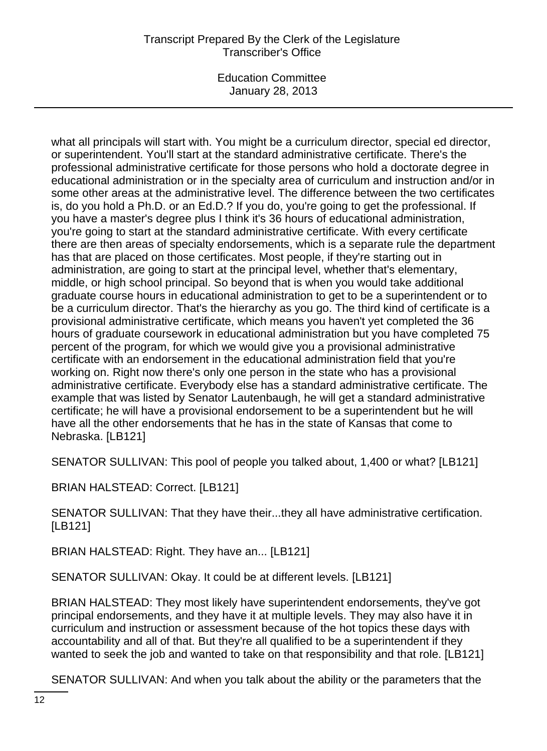# Transcript Prepared By the Clerk of the Legislature Transcriber's Office

Education Committee January 28, 2013

what all principals will start with. You might be a curriculum director, special ed director, or superintendent. You'll start at the standard administrative certificate. There's the professional administrative certificate for those persons who hold a doctorate degree in educational administration or in the specialty area of curriculum and instruction and/or in some other areas at the administrative level. The difference between the two certificates is, do you hold a Ph.D. or an Ed.D.? If you do, you're going to get the professional. If you have a master's degree plus I think it's 36 hours of educational administration, you're going to start at the standard administrative certificate. With every certificate there are then areas of specialty endorsements, which is a separate rule the department has that are placed on those certificates. Most people, if they're starting out in administration, are going to start at the principal level, whether that's elementary, middle, or high school principal. So beyond that is when you would take additional graduate course hours in educational administration to get to be a superintendent or to be a curriculum director. That's the hierarchy as you go. The third kind of certificate is a provisional administrative certificate, which means you haven't yet completed the 36 hours of graduate coursework in educational administration but you have completed 75 percent of the program, for which we would give you a provisional administrative certificate with an endorsement in the educational administration field that you're working on. Right now there's only one person in the state who has a provisional administrative certificate. Everybody else has a standard administrative certificate. The example that was listed by Senator Lautenbaugh, he will get a standard administrative certificate; he will have a provisional endorsement to be a superintendent but he will have all the other endorsements that he has in the state of Kansas that come to Nebraska. [LB121]

SENATOR SULLIVAN: This pool of people you talked about, 1,400 or what? [LB121]

BRIAN HALSTEAD: Correct. [LB121]

SENATOR SULLIVAN: That they have their...they all have administrative certification. [LB121]

BRIAN HALSTEAD: Right. They have an... [LB121]

SENATOR SULLIVAN: Okay. It could be at different levels. [LB121]

BRIAN HALSTEAD: They most likely have superintendent endorsements, they've got principal endorsements, and they have it at multiple levels. They may also have it in curriculum and instruction or assessment because of the hot topics these days with accountability and all of that. But they're all qualified to be a superintendent if they wanted to seek the job and wanted to take on that responsibility and that role. [LB121]

SENATOR SULLIVAN: And when you talk about the ability or the parameters that the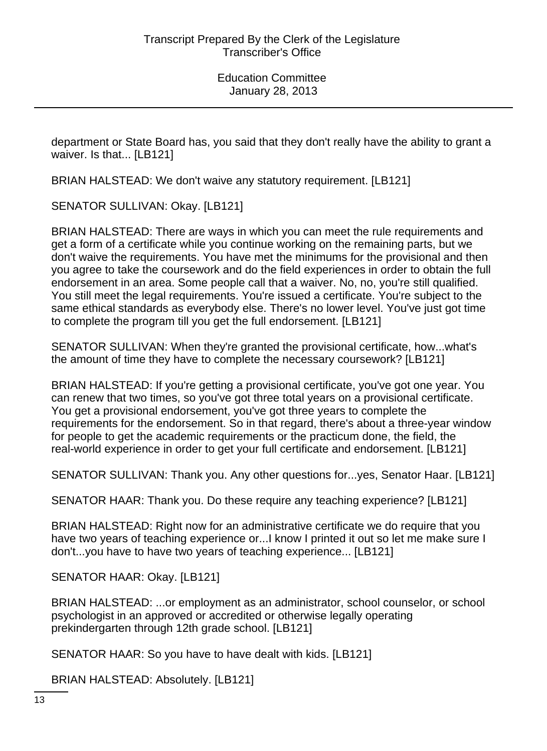department or State Board has, you said that they don't really have the ability to grant a waiver. Is that... [LB121]

BRIAN HALSTEAD: We don't waive any statutory requirement. [LB121]

SENATOR SULLIVAN: Okay. [LB121]

BRIAN HALSTEAD: There are ways in which you can meet the rule requirements and get a form of a certificate while you continue working on the remaining parts, but we don't waive the requirements. You have met the minimums for the provisional and then you agree to take the coursework and do the field experiences in order to obtain the full endorsement in an area. Some people call that a waiver. No, no, you're still qualified. You still meet the legal requirements. You're issued a certificate. You're subject to the same ethical standards as everybody else. There's no lower level. You've just got time to complete the program till you get the full endorsement. [LB121]

SENATOR SULLIVAN: When they're granted the provisional certificate, how...what's the amount of time they have to complete the necessary coursework? [LB121]

BRIAN HALSTEAD: If you're getting a provisional certificate, you've got one year. You can renew that two times, so you've got three total years on a provisional certificate. You get a provisional endorsement, you've got three years to complete the requirements for the endorsement. So in that regard, there's about a three-year window for people to get the academic requirements or the practicum done, the field, the real-world experience in order to get your full certificate and endorsement. [LB121]

SENATOR SULLIVAN: Thank you. Any other questions for...yes, Senator Haar. [LB121]

SENATOR HAAR: Thank you. Do these require any teaching experience? [LB121]

BRIAN HALSTEAD: Right now for an administrative certificate we do require that you have two years of teaching experience or...I know I printed it out so let me make sure I don't...you have to have two years of teaching experience... [LB121]

SENATOR HAAR: Okay. [LB121]

BRIAN HALSTEAD: ...or employment as an administrator, school counselor, or school psychologist in an approved or accredited or otherwise legally operating prekindergarten through 12th grade school. [LB121]

SENATOR HAAR: So you have to have dealt with kids. [LB121]

BRIAN HALSTEAD: Absolutely. [LB121]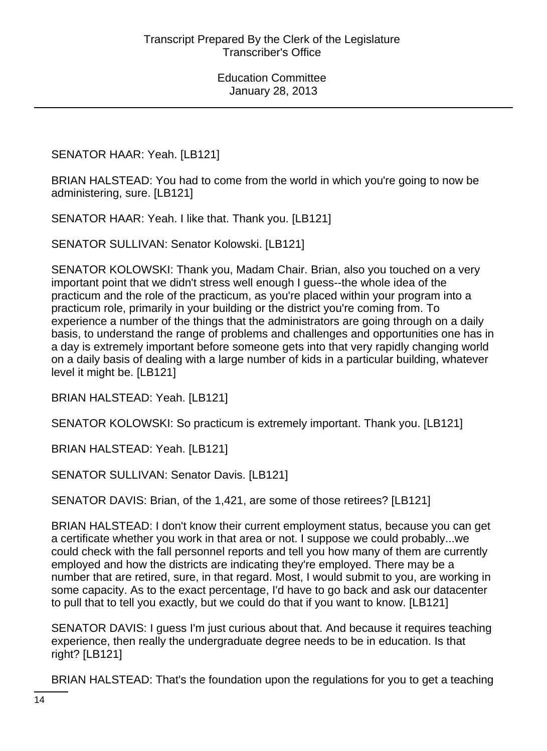SENATOR HAAR: Yeah. [LB121]

BRIAN HALSTEAD: You had to come from the world in which you're going to now be administering, sure. [LB121]

SENATOR HAAR: Yeah. I like that. Thank you. [LB121]

SENATOR SULLIVAN: Senator Kolowski. [LB121]

SENATOR KOLOWSKI: Thank you, Madam Chair. Brian, also you touched on a very important point that we didn't stress well enough I guess--the whole idea of the practicum and the role of the practicum, as you're placed within your program into a practicum role, primarily in your building or the district you're coming from. To experience a number of the things that the administrators are going through on a daily basis, to understand the range of problems and challenges and opportunities one has in a day is extremely important before someone gets into that very rapidly changing world on a daily basis of dealing with a large number of kids in a particular building, whatever level it might be. [LB121]

BRIAN HALSTEAD: Yeah. [LB121]

SENATOR KOLOWSKI: So practicum is extremely important. Thank you. [LB121]

BRIAN HALSTEAD: Yeah. [LB121]

SENATOR SULLIVAN: Senator Davis. [LB121]

SENATOR DAVIS: Brian, of the 1,421, are some of those retirees? [LB121]

BRIAN HALSTEAD: I don't know their current employment status, because you can get a certificate whether you work in that area or not. I suppose we could probably...we could check with the fall personnel reports and tell you how many of them are currently employed and how the districts are indicating they're employed. There may be a number that are retired, sure, in that regard. Most, I would submit to you, are working in some capacity. As to the exact percentage, I'd have to go back and ask our datacenter to pull that to tell you exactly, but we could do that if you want to know. [LB121]

SENATOR DAVIS: I guess I'm just curious about that. And because it requires teaching experience, then really the undergraduate degree needs to be in education. Is that right? [LB121]

BRIAN HALSTEAD: That's the foundation upon the regulations for you to get a teaching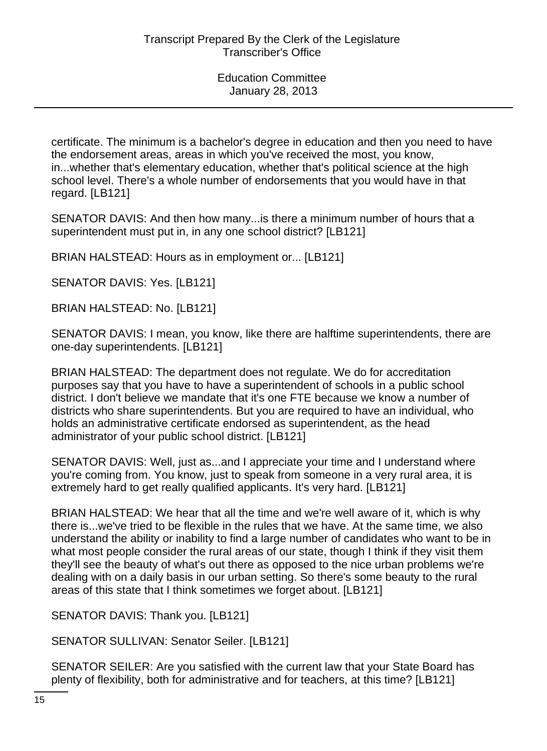certificate. The minimum is a bachelor's degree in education and then you need to have the endorsement areas, areas in which you've received the most, you know, in...whether that's elementary education, whether that's political science at the high school level. There's a whole number of endorsements that you would have in that regard. [LB121]

SENATOR DAVIS: And then how many...is there a minimum number of hours that a superintendent must put in, in any one school district? [LB121]

BRIAN HALSTEAD: Hours as in employment or... [LB121]

SENATOR DAVIS: Yes. [LB121]

BRIAN HALSTEAD: No. [LB121]

SENATOR DAVIS: I mean, you know, like there are halftime superintendents, there are one-day superintendents. [LB121]

BRIAN HALSTEAD: The department does not regulate. We do for accreditation purposes say that you have to have a superintendent of schools in a public school district. I don't believe we mandate that it's one FTE because we know a number of districts who share superintendents. But you are required to have an individual, who holds an administrative certificate endorsed as superintendent, as the head administrator of your public school district. [LB121]

SENATOR DAVIS: Well, just as...and I appreciate your time and I understand where you're coming from. You know, just to speak from someone in a very rural area, it is extremely hard to get really qualified applicants. It's very hard. [LB121]

BRIAN HALSTEAD: We hear that all the time and we're well aware of it, which is why there is...we've tried to be flexible in the rules that we have. At the same time, we also understand the ability or inability to find a large number of candidates who want to be in what most people consider the rural areas of our state, though I think if they visit them they'll see the beauty of what's out there as opposed to the nice urban problems we're dealing with on a daily basis in our urban setting. So there's some beauty to the rural areas of this state that I think sometimes we forget about. [LB121]

SENATOR DAVIS: Thank you. [LB121]

SENATOR SULLIVAN: Senator Seiler. [LB121]

SENATOR SEILER: Are you satisfied with the current law that your State Board has plenty of flexibility, both for administrative and for teachers, at this time? [LB121]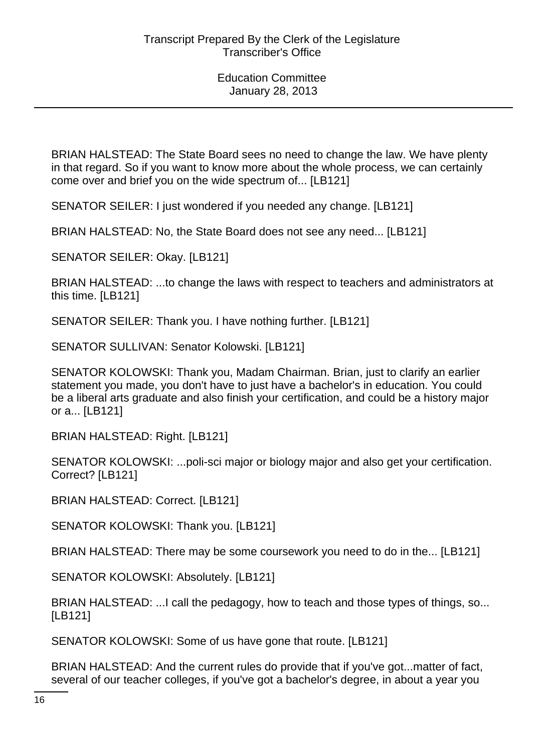BRIAN HALSTEAD: The State Board sees no need to change the law. We have plenty in that regard. So if you want to know more about the whole process, we can certainly come over and brief you on the wide spectrum of... [LB121]

SENATOR SEILER: I just wondered if you needed any change. [LB121]

BRIAN HALSTEAD: No, the State Board does not see any need... [LB121]

SENATOR SEILER: Okay. [LB121]

BRIAN HALSTEAD: ...to change the laws with respect to teachers and administrators at this time. [LB121]

SENATOR SEILER: Thank you. I have nothing further. [LB121]

SENATOR SULLIVAN: Senator Kolowski. [LB121]

SENATOR KOLOWSKI: Thank you, Madam Chairman. Brian, just to clarify an earlier statement you made, you don't have to just have a bachelor's in education. You could be a liberal arts graduate and also finish your certification, and could be a history major or a... [LB121]

BRIAN HALSTEAD: Right. [LB121]

SENATOR KOLOWSKI: ...poli-sci major or biology major and also get your certification. Correct? [LB121]

BRIAN HALSTEAD: Correct. [LB121]

SENATOR KOLOWSKI: Thank you. [LB121]

BRIAN HALSTEAD: There may be some coursework you need to do in the... [LB121]

SENATOR KOLOWSKI: Absolutely. [LB121]

BRIAN HALSTEAD: ...I call the pedagogy, how to teach and those types of things, so... [LB121]

SENATOR KOLOWSKI: Some of us have gone that route. [LB121]

BRIAN HALSTEAD: And the current rules do provide that if you've got...matter of fact, several of our teacher colleges, if you've got a bachelor's degree, in about a year you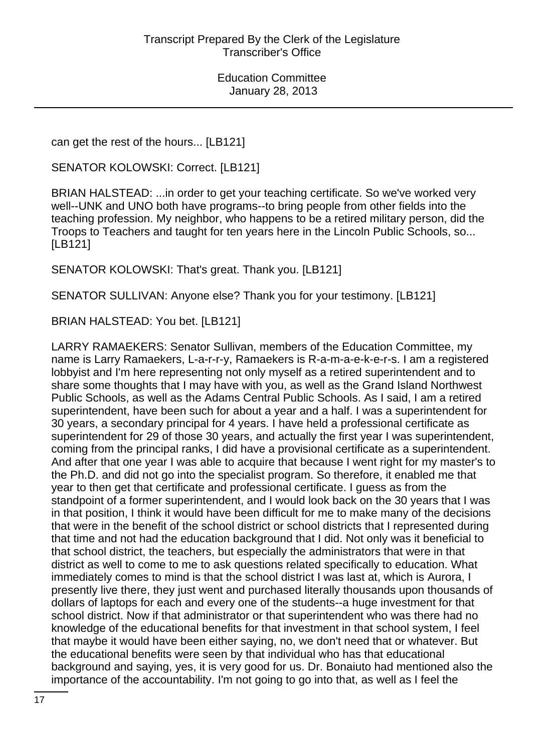can get the rest of the hours... [LB121]

SENATOR KOLOWSKI: Correct. [LB121]

BRIAN HALSTEAD: ...in order to get your teaching certificate. So we've worked very well--UNK and UNO both have programs--to bring people from other fields into the teaching profession. My neighbor, who happens to be a retired military person, did the Troops to Teachers and taught for ten years here in the Lincoln Public Schools, so... [LB121]

SENATOR KOLOWSKI: That's great. Thank you. [LB121]

SENATOR SULLIVAN: Anyone else? Thank you for your testimony. [LB121]

BRIAN HALSTEAD: You bet. [LB121]

LARRY RAMAEKERS: Senator Sullivan, members of the Education Committee, my name is Larry Ramaekers, L-a-r-r-y, Ramaekers is R-a-m-a-e-k-e-r-s. I am a registered lobbyist and I'm here representing not only myself as a retired superintendent and to share some thoughts that I may have with you, as well as the Grand Island Northwest Public Schools, as well as the Adams Central Public Schools. As I said, I am a retired superintendent, have been such for about a year and a half. I was a superintendent for 30 years, a secondary principal for 4 years. I have held a professional certificate as superintendent for 29 of those 30 years, and actually the first year I was superintendent, coming from the principal ranks, I did have a provisional certificate as a superintendent. And after that one year I was able to acquire that because I went right for my master's to the Ph.D. and did not go into the specialist program. So therefore, it enabled me that year to then get that certificate and professional certificate. I guess as from the standpoint of a former superintendent, and I would look back on the 30 years that I was in that position, I think it would have been difficult for me to make many of the decisions that were in the benefit of the school district or school districts that I represented during that time and not had the education background that I did. Not only was it beneficial to that school district, the teachers, but especially the administrators that were in that district as well to come to me to ask questions related specifically to education. What immediately comes to mind is that the school district I was last at, which is Aurora, I presently live there, they just went and purchased literally thousands upon thousands of dollars of laptops for each and every one of the students--a huge investment for that school district. Now if that administrator or that superintendent who was there had no knowledge of the educational benefits for that investment in that school system, I feel that maybe it would have been either saying, no, we don't need that or whatever. But the educational benefits were seen by that individual who has that educational background and saying, yes, it is very good for us. Dr. Bonaiuto had mentioned also the importance of the accountability. I'm not going to go into that, as well as I feel the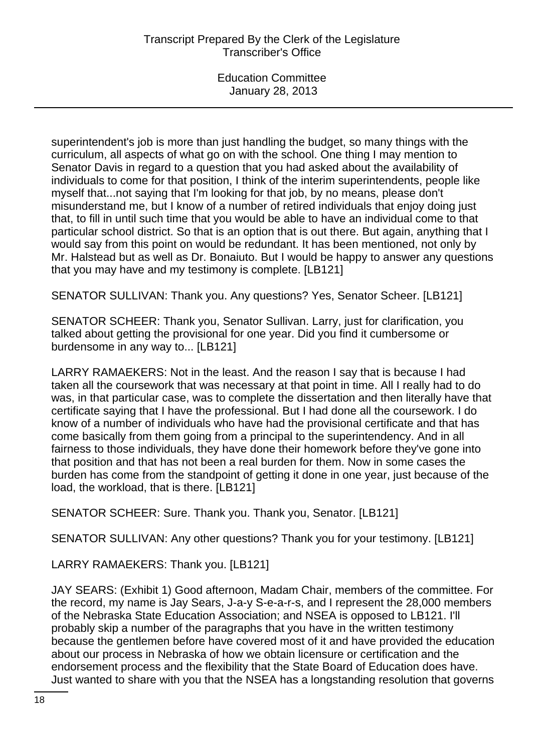superintendent's job is more than just handling the budget, so many things with the curriculum, all aspects of what go on with the school. One thing I may mention to Senator Davis in regard to a question that you had asked about the availability of individuals to come for that position, I think of the interim superintendents, people like myself that...not saying that I'm looking for that job, by no means, please don't misunderstand me, but I know of a number of retired individuals that enjoy doing just that, to fill in until such time that you would be able to have an individual come to that particular school district. So that is an option that is out there. But again, anything that I would say from this point on would be redundant. It has been mentioned, not only by Mr. Halstead but as well as Dr. Bonaiuto. But I would be happy to answer any questions that you may have and my testimony is complete. [LB121]

SENATOR SULLIVAN: Thank you. Any questions? Yes, Senator Scheer. [LB121]

SENATOR SCHEER: Thank you, Senator Sullivan. Larry, just for clarification, you talked about getting the provisional for one year. Did you find it cumbersome or burdensome in any way to... [LB121]

LARRY RAMAEKERS: Not in the least. And the reason I say that is because I had taken all the coursework that was necessary at that point in time. All I really had to do was, in that particular case, was to complete the dissertation and then literally have that certificate saying that I have the professional. But I had done all the coursework. I do know of a number of individuals who have had the provisional certificate and that has come basically from them going from a principal to the superintendency. And in all fairness to those individuals, they have done their homework before they've gone into that position and that has not been a real burden for them. Now in some cases the burden has come from the standpoint of getting it done in one year, just because of the load, the workload, that is there. [LB121]

SENATOR SCHEER: Sure. Thank you. Thank you, Senator. [LB121]

SENATOR SULLIVAN: Any other questions? Thank you for your testimony. [LB121]

LARRY RAMAEKERS: Thank you. [LB121]

JAY SEARS: (Exhibit 1) Good afternoon, Madam Chair, members of the committee. For the record, my name is Jay Sears, J-a-y S-e-a-r-s, and I represent the 28,000 members of the Nebraska State Education Association; and NSEA is opposed to LB121. I'll probably skip a number of the paragraphs that you have in the written testimony because the gentlemen before have covered most of it and have provided the education about our process in Nebraska of how we obtain licensure or certification and the endorsement process and the flexibility that the State Board of Education does have. Just wanted to share with you that the NSEA has a longstanding resolution that governs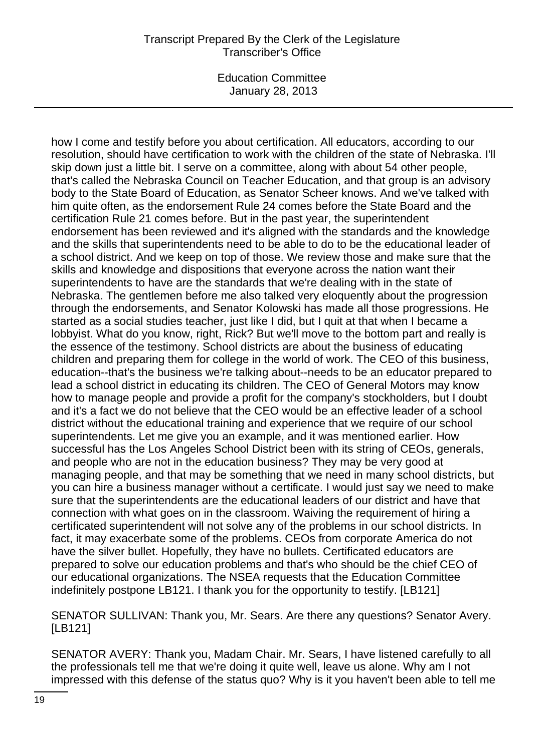### Transcript Prepared By the Clerk of the Legislature Transcriber's Office

Education Committee January 28, 2013

how I come and testify before you about certification. All educators, according to our resolution, should have certification to work with the children of the state of Nebraska. I'll skip down just a little bit. I serve on a committee, along with about 54 other people, that's called the Nebraska Council on Teacher Education, and that group is an advisory body to the State Board of Education, as Senator Scheer knows. And we've talked with him quite often, as the endorsement Rule 24 comes before the State Board and the certification Rule 21 comes before. But in the past year, the superintendent endorsement has been reviewed and it's aligned with the standards and the knowledge and the skills that superintendents need to be able to do to be the educational leader of a school district. And we keep on top of those. We review those and make sure that the skills and knowledge and dispositions that everyone across the nation want their superintendents to have are the standards that we're dealing with in the state of Nebraska. The gentlemen before me also talked very eloquently about the progression through the endorsements, and Senator Kolowski has made all those progressions. He started as a social studies teacher, just like I did, but I quit at that when I became a lobbyist. What do you know, right, Rick? But we'll move to the bottom part and really is the essence of the testimony. School districts are about the business of educating children and preparing them for college in the world of work. The CEO of this business, education--that's the business we're talking about--needs to be an educator prepared to lead a school district in educating its children. The CEO of General Motors may know how to manage people and provide a profit for the company's stockholders, but I doubt and it's a fact we do not believe that the CEO would be an effective leader of a school district without the educational training and experience that we require of our school superintendents. Let me give you an example, and it was mentioned earlier. How successful has the Los Angeles School District been with its string of CEOs, generals, and people who are not in the education business? They may be very good at managing people, and that may be something that we need in many school districts, but you can hire a business manager without a certificate. I would just say we need to make sure that the superintendents are the educational leaders of our district and have that connection with what goes on in the classroom. Waiving the requirement of hiring a certificated superintendent will not solve any of the problems in our school districts. In fact, it may exacerbate some of the problems. CEOs from corporate America do not have the silver bullet. Hopefully, they have no bullets. Certificated educators are prepared to solve our education problems and that's who should be the chief CEO of our educational organizations. The NSEA requests that the Education Committee indefinitely postpone LB121. I thank you for the opportunity to testify. [LB121]

SENATOR SULLIVAN: Thank you, Mr. Sears. Are there any questions? Senator Avery. [LB121]

SENATOR AVERY: Thank you, Madam Chair. Mr. Sears, I have listened carefully to all the professionals tell me that we're doing it quite well, leave us alone. Why am I not impressed with this defense of the status quo? Why is it you haven't been able to tell me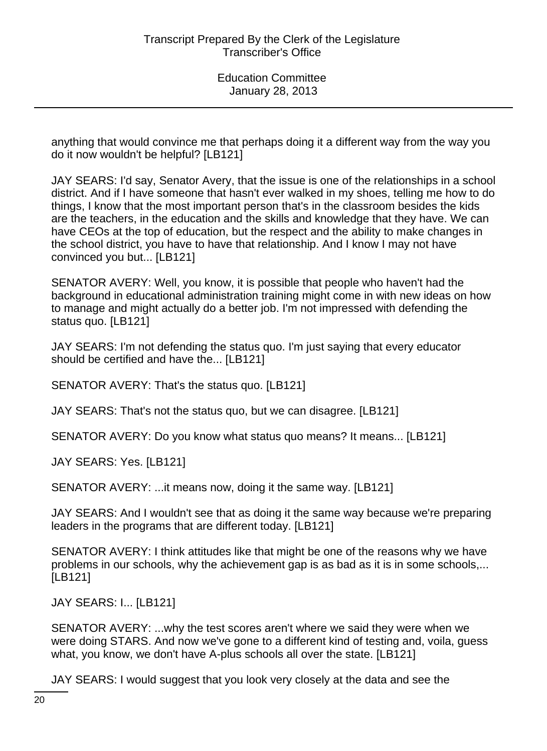anything that would convince me that perhaps doing it a different way from the way you do it now wouldn't be helpful? [LB121]

JAY SEARS: I'd say, Senator Avery, that the issue is one of the relationships in a school district. And if I have someone that hasn't ever walked in my shoes, telling me how to do things, I know that the most important person that's in the classroom besides the kids are the teachers, in the education and the skills and knowledge that they have. We can have CEOs at the top of education, but the respect and the ability to make changes in the school district, you have to have that relationship. And I know I may not have convinced you but... [LB121]

SENATOR AVERY: Well, you know, it is possible that people who haven't had the background in educational administration training might come in with new ideas on how to manage and might actually do a better job. I'm not impressed with defending the status quo. [LB121]

JAY SEARS: I'm not defending the status quo. I'm just saying that every educator should be certified and have the... [LB121]

SENATOR AVERY: That's the status quo. [LB121]

JAY SEARS: That's not the status quo, but we can disagree. [LB121]

SENATOR AVERY: Do you know what status quo means? It means... [LB121]

JAY SEARS: Yes. [LB121]

SENATOR AVERY: ...it means now, doing it the same way. [LB121]

JAY SEARS: And I wouldn't see that as doing it the same way because we're preparing leaders in the programs that are different today. [LB121]

SENATOR AVERY: I think attitudes like that might be one of the reasons why we have problems in our schools, why the achievement gap is as bad as it is in some schools,... [LB121]

JAY SEARS: I... [LB121]

SENATOR AVERY: ...why the test scores aren't where we said they were when we were doing STARS. And now we've gone to a different kind of testing and, voila, guess what, you know, we don't have A-plus schools all over the state. [LB121]

JAY SEARS: I would suggest that you look very closely at the data and see the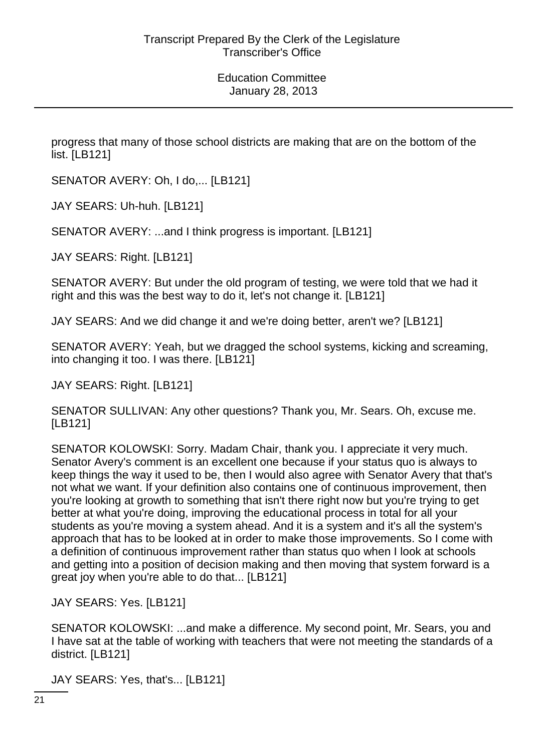progress that many of those school districts are making that are on the bottom of the list. [LB121]

SENATOR AVERY: Oh, I do,... [LB121]

JAY SEARS: Uh-huh. [LB121]

SENATOR AVERY: ...and I think progress is important. [LB121]

JAY SEARS: Right. [LB121]

SENATOR AVERY: But under the old program of testing, we were told that we had it right and this was the best way to do it, let's not change it. [LB121]

JAY SEARS: And we did change it and we're doing better, aren't we? [LB121]

SENATOR AVERY: Yeah, but we dragged the school systems, kicking and screaming, into changing it too. I was there. [LB121]

JAY SEARS: Right. [LB121]

SENATOR SULLIVAN: Any other questions? Thank you, Mr. Sears. Oh, excuse me. [LB121]

SENATOR KOLOWSKI: Sorry. Madam Chair, thank you. I appreciate it very much. Senator Avery's comment is an excellent one because if your status quo is always to keep things the way it used to be, then I would also agree with Senator Avery that that's not what we want. If your definition also contains one of continuous improvement, then you're looking at growth to something that isn't there right now but you're trying to get better at what you're doing, improving the educational process in total for all your students as you're moving a system ahead. And it is a system and it's all the system's approach that has to be looked at in order to make those improvements. So I come with a definition of continuous improvement rather than status quo when I look at schools and getting into a position of decision making and then moving that system forward is a great joy when you're able to do that... [LB121]

JAY SEARS: Yes. [LB121]

SENATOR KOLOWSKI: ...and make a difference. My second point, Mr. Sears, you and I have sat at the table of working with teachers that were not meeting the standards of a district. [LB121]

JAY SEARS: Yes, that's... [LB121]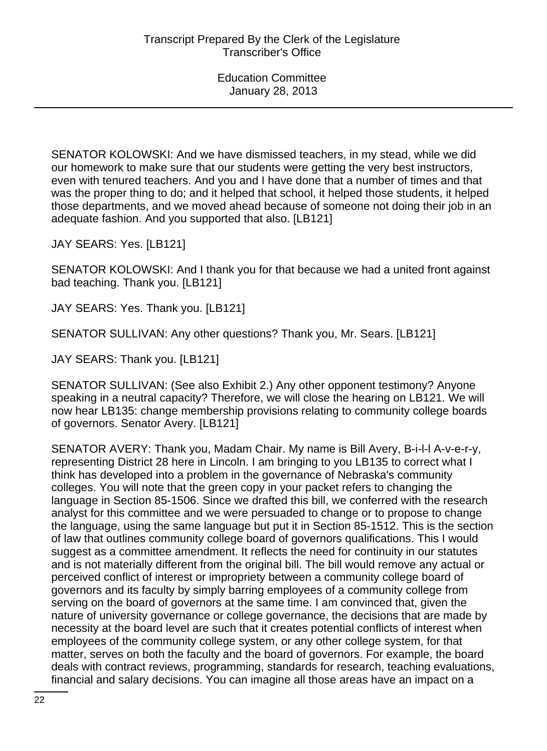SENATOR KOLOWSKI: And we have dismissed teachers, in my stead, while we did our homework to make sure that our students were getting the very best instructors, even with tenured teachers. And you and I have done that a number of times and that was the proper thing to do; and it helped that school, it helped those students, it helped those departments, and we moved ahead because of someone not doing their job in an adequate fashion. And you supported that also. [LB121]

JAY SEARS: Yes. [LB121]

SENATOR KOLOWSKI: And I thank you for that because we had a united front against bad teaching. Thank you. [LB121]

JAY SEARS: Yes. Thank you. [LB121]

SENATOR SULLIVAN: Any other questions? Thank you, Mr. Sears. [LB121]

JAY SEARS: Thank you. [LB121]

SENATOR SULLIVAN: (See also Exhibit 2.) Any other opponent testimony? Anyone speaking in a neutral capacity? Therefore, we will close the hearing on LB121. We will now hear LB135: change membership provisions relating to community college boards of governors. Senator Avery. [LB121]

SENATOR AVERY: Thank you, Madam Chair. My name is Bill Avery, B-i-l-l A-v-e-r-y, representing District 28 here in Lincoln. I am bringing to you LB135 to correct what I think has developed into a problem in the governance of Nebraska's community colleges. You will note that the green copy in your packet refers to changing the language in Section 85-1506. Since we drafted this bill, we conferred with the research analyst for this committee and we were persuaded to change or to propose to change the language, using the same language but put it in Section 85-1512. This is the section of law that outlines community college board of governors qualifications. This I would suggest as a committee amendment. It reflects the need for continuity in our statutes and is not materially different from the original bill. The bill would remove any actual or perceived conflict of interest or impropriety between a community college board of governors and its faculty by simply barring employees of a community college from serving on the board of governors at the same time. I am convinced that, given the nature of university governance or college governance, the decisions that are made by necessity at the board level are such that it creates potential conflicts of interest when employees of the community college system, or any other college system, for that matter, serves on both the faculty and the board of governors. For example, the board deals with contract reviews, programming, standards for research, teaching evaluations, financial and salary decisions. You can imagine all those areas have an impact on a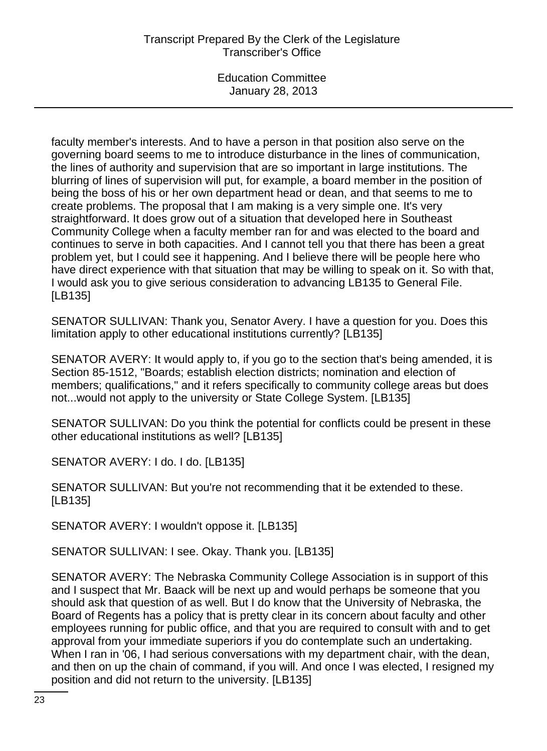faculty member's interests. And to have a person in that position also serve on the governing board seems to me to introduce disturbance in the lines of communication, the lines of authority and supervision that are so important in large institutions. The blurring of lines of supervision will put, for example, a board member in the position of being the boss of his or her own department head or dean, and that seems to me to create problems. The proposal that I am making is a very simple one. It's very straightforward. It does grow out of a situation that developed here in Southeast Community College when a faculty member ran for and was elected to the board and continues to serve in both capacities. And I cannot tell you that there has been a great problem yet, but I could see it happening. And I believe there will be people here who have direct experience with that situation that may be willing to speak on it. So with that, I would ask you to give serious consideration to advancing LB135 to General File. [LB135]

SENATOR SULLIVAN: Thank you, Senator Avery. I have a question for you. Does this limitation apply to other educational institutions currently? [LB135]

SENATOR AVERY: It would apply to, if you go to the section that's being amended, it is Section 85-1512, "Boards; establish election districts; nomination and election of members; qualifications," and it refers specifically to community college areas but does not...would not apply to the university or State College System. [LB135]

SENATOR SULLIVAN: Do you think the potential for conflicts could be present in these other educational institutions as well? [LB135]

SENATOR AVERY: I do. I do. [LB135]

SENATOR SULLIVAN: But you're not recommending that it be extended to these. [LB135]

SENATOR AVERY: I wouldn't oppose it. [LB135]

SENATOR SULLIVAN: I see. Okay. Thank you. [LB135]

SENATOR AVERY: The Nebraska Community College Association is in support of this and I suspect that Mr. Baack will be next up and would perhaps be someone that you should ask that question of as well. But I do know that the University of Nebraska, the Board of Regents has a policy that is pretty clear in its concern about faculty and other employees running for public office, and that you are required to consult with and to get approval from your immediate superiors if you do contemplate such an undertaking. When I ran in '06, I had serious conversations with my department chair, with the dean, and then on up the chain of command, if you will. And once I was elected, I resigned my position and did not return to the university. [LB135]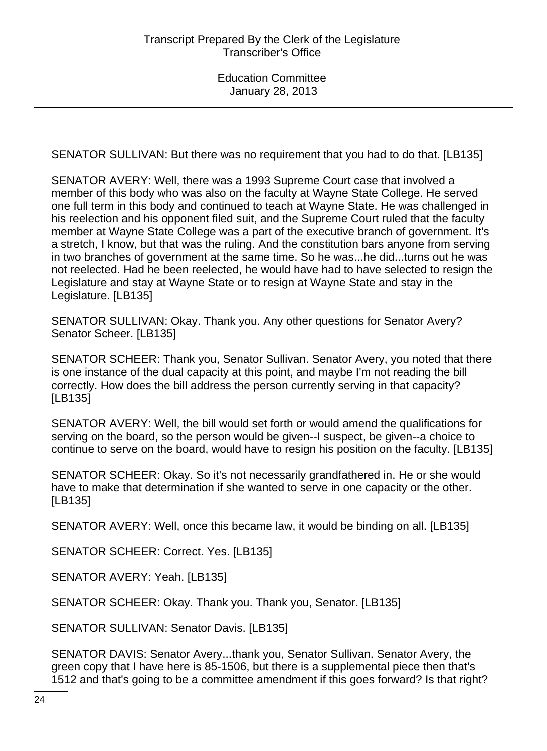SENATOR SULLIVAN: But there was no requirement that you had to do that. [LB135]

SENATOR AVERY: Well, there was a 1993 Supreme Court case that involved a member of this body who was also on the faculty at Wayne State College. He served one full term in this body and continued to teach at Wayne State. He was challenged in his reelection and his opponent filed suit, and the Supreme Court ruled that the faculty member at Wayne State College was a part of the executive branch of government. It's a stretch, I know, but that was the ruling. And the constitution bars anyone from serving in two branches of government at the same time. So he was...he did...turns out he was not reelected. Had he been reelected, he would have had to have selected to resign the Legislature and stay at Wayne State or to resign at Wayne State and stay in the Legislature. [LB135]

SENATOR SULLIVAN: Okay. Thank you. Any other questions for Senator Avery? Senator Scheer. [LB135]

SENATOR SCHEER: Thank you, Senator Sullivan. Senator Avery, you noted that there is one instance of the dual capacity at this point, and maybe I'm not reading the bill correctly. How does the bill address the person currently serving in that capacity? [LB135]

SENATOR AVERY: Well, the bill would set forth or would amend the qualifications for serving on the board, so the person would be given--I suspect, be given--a choice to continue to serve on the board, would have to resign his position on the faculty. [LB135]

SENATOR SCHEER: Okay. So it's not necessarily grandfathered in. He or she would have to make that determination if she wanted to serve in one capacity or the other. [LB135]

SENATOR AVERY: Well, once this became law, it would be binding on all. [LB135]

SENATOR SCHEER: Correct. Yes. [LB135]

SENATOR AVERY: Yeah. [LB135]

SENATOR SCHEER: Okay. Thank you. Thank you, Senator. [LB135]

SENATOR SULLIVAN: Senator Davis. [LB135]

SENATOR DAVIS: Senator Avery...thank you, Senator Sullivan. Senator Avery, the green copy that I have here is 85-1506, but there is a supplemental piece then that's 1512 and that's going to be a committee amendment if this goes forward? Is that right?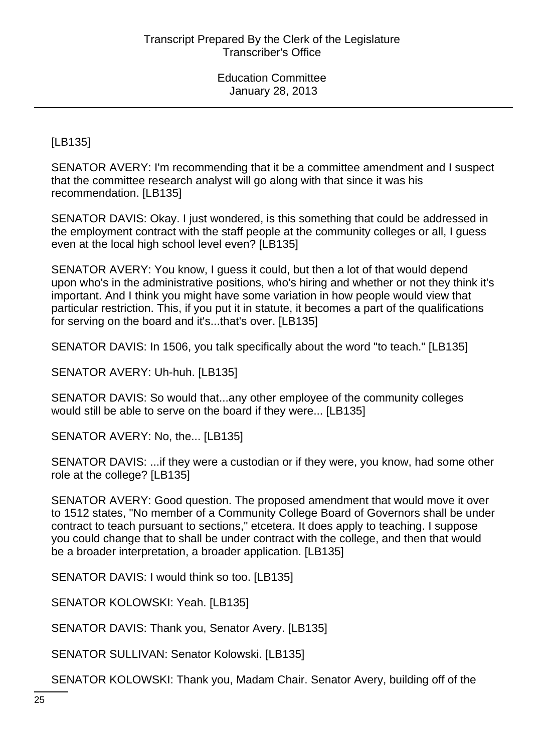[LB135]

SENATOR AVERY: I'm recommending that it be a committee amendment and I suspect that the committee research analyst will go along with that since it was his recommendation. [LB135]

SENATOR DAVIS: Okay. I just wondered, is this something that could be addressed in the employment contract with the staff people at the community colleges or all, I guess even at the local high school level even? [LB135]

SENATOR AVERY: You know, I guess it could, but then a lot of that would depend upon who's in the administrative positions, who's hiring and whether or not they think it's important. And I think you might have some variation in how people would view that particular restriction. This, if you put it in statute, it becomes a part of the qualifications for serving on the board and it's...that's over. [LB135]

SENATOR DAVIS: In 1506, you talk specifically about the word "to teach." [LB135]

SENATOR AVERY: Uh-huh. [LB135]

SENATOR DAVIS: So would that...any other employee of the community colleges would still be able to serve on the board if they were... [LB135]

SENATOR AVERY: No, the... [LB135]

SENATOR DAVIS: ...if they were a custodian or if they were, you know, had some other role at the college? [LB135]

SENATOR AVERY: Good question. The proposed amendment that would move it over to 1512 states, "No member of a Community College Board of Governors shall be under contract to teach pursuant to sections," etcetera. It does apply to teaching. I suppose you could change that to shall be under contract with the college, and then that would be a broader interpretation, a broader application. [LB135]

SENATOR DAVIS: I would think so too. [LB135]

SENATOR KOLOWSKI: Yeah. [LB135]

SENATOR DAVIS: Thank you, Senator Avery. [LB135]

SENATOR SULLIVAN: Senator Kolowski. [LB135]

SENATOR KOLOWSKI: Thank you, Madam Chair. Senator Avery, building off of the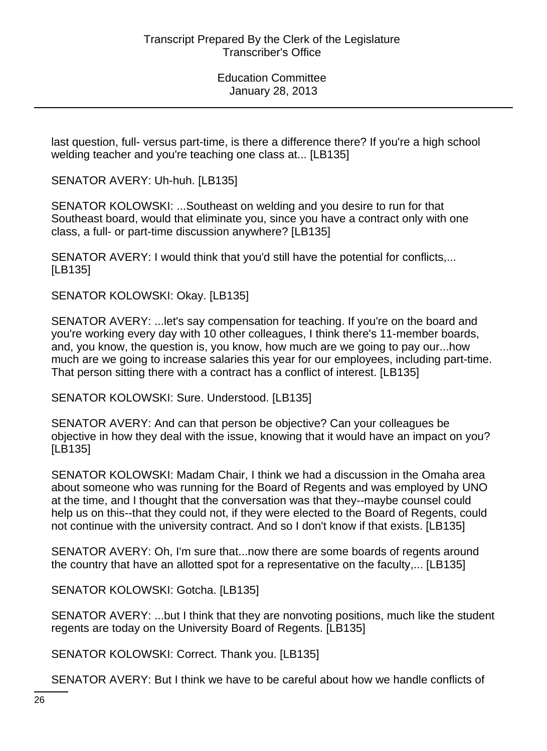last question, full- versus part-time, is there a difference there? If you're a high school welding teacher and you're teaching one class at... [LB135]

SENATOR AVERY: Uh-huh. [LB135]

SENATOR KOLOWSKI: ...Southeast on welding and you desire to run for that Southeast board, would that eliminate you, since you have a contract only with one class, a full- or part-time discussion anywhere? [LB135]

SENATOR AVERY: I would think that you'd still have the potential for conflicts,... [LB135]

SENATOR KOLOWSKI: Okay. [LB135]

SENATOR AVERY: ...let's say compensation for teaching. If you're on the board and you're working every day with 10 other colleagues, I think there's 11-member boards, and, you know, the question is, you know, how much are we going to pay our...how much are we going to increase salaries this year for our employees, including part-time. That person sitting there with a contract has a conflict of interest. [LB135]

SENATOR KOLOWSKI: Sure. Understood. [LB135]

SENATOR AVERY: And can that person be objective? Can your colleagues be objective in how they deal with the issue, knowing that it would have an impact on you? [LB135]

SENATOR KOLOWSKI: Madam Chair, I think we had a discussion in the Omaha area about someone who was running for the Board of Regents and was employed by UNO at the time, and I thought that the conversation was that they--maybe counsel could help us on this--that they could not, if they were elected to the Board of Regents, could not continue with the university contract. And so I don't know if that exists. [LB135]

SENATOR AVERY: Oh, I'm sure that...now there are some boards of regents around the country that have an allotted spot for a representative on the faculty,... [LB135]

SENATOR KOLOWSKI: Gotcha. [LB135]

SENATOR AVERY: ...but I think that they are nonvoting positions, much like the student regents are today on the University Board of Regents. [LB135]

SENATOR KOLOWSKI: Correct. Thank you. [LB135]

SENATOR AVERY: But I think we have to be careful about how we handle conflicts of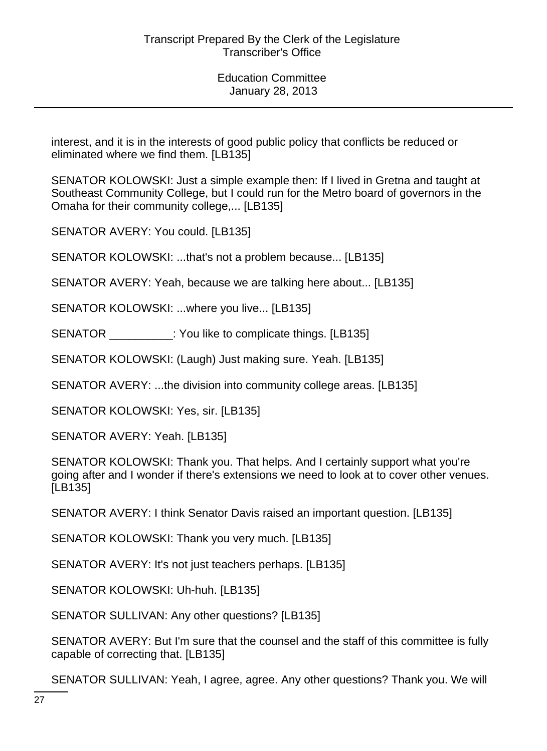interest, and it is in the interests of good public policy that conflicts be reduced or eliminated where we find them. [LB135]

SENATOR KOLOWSKI: Just a simple example then: If I lived in Gretna and taught at Southeast Community College, but I could run for the Metro board of governors in the Omaha for their community college,... [LB135]

SENATOR AVERY: You could. [LB135]

SENATOR KOLOWSKI: ...that's not a problem because... [LB135]

SENATOR AVERY: Yeah, because we are talking here about... [LB135]

SENATOR KOLOWSKI: ...where you live... [LB135]

SENATOR \_\_\_\_\_\_\_\_: You like to complicate things. [LB135]

SENATOR KOLOWSKI: (Laugh) Just making sure. Yeah. [LB135]

SENATOR AVERY: ...the division into community college areas. [LB135]

SENATOR KOLOWSKI: Yes, sir. [LB135]

SENATOR AVERY: Yeah. [LB135]

SENATOR KOLOWSKI: Thank you. That helps. And I certainly support what you're going after and I wonder if there's extensions we need to look at to cover other venues. [LB135]

SENATOR AVERY: I think Senator Davis raised an important question. [LB135]

SENATOR KOLOWSKI: Thank you very much. [LB135]

SENATOR AVERY: It's not just teachers perhaps. [LB135]

SENATOR KOLOWSKI: Uh-huh. [LB135]

SENATOR SULLIVAN: Any other questions? [LB135]

SENATOR AVERY: But I'm sure that the counsel and the staff of this committee is fully capable of correcting that. [LB135]

SENATOR SULLIVAN: Yeah, I agree, agree. Any other questions? Thank you. We will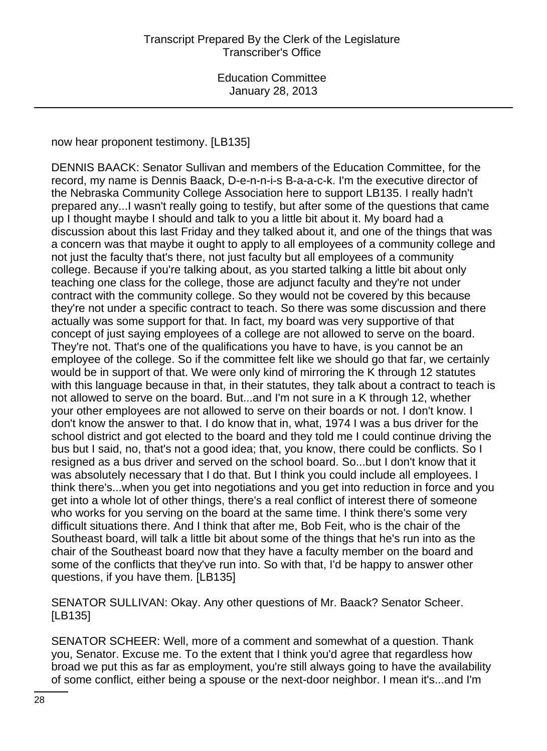now hear proponent testimony. [LB135]

DENNIS BAACK: Senator Sullivan and members of the Education Committee, for the record, my name is Dennis Baack, D-e-n-n-i-s B-a-a-c-k. I'm the executive director of the Nebraska Community College Association here to support LB135. I really hadn't prepared any...I wasn't really going to testify, but after some of the questions that came up I thought maybe I should and talk to you a little bit about it. My board had a discussion about this last Friday and they talked about it, and one of the things that was a concern was that maybe it ought to apply to all employees of a community college and not just the faculty that's there, not just faculty but all employees of a community college. Because if you're talking about, as you started talking a little bit about only teaching one class for the college, those are adjunct faculty and they're not under contract with the community college. So they would not be covered by this because they're not under a specific contract to teach. So there was some discussion and there actually was some support for that. In fact, my board was very supportive of that concept of just saying employees of a college are not allowed to serve on the board. They're not. That's one of the qualifications you have to have, is you cannot be an employee of the college. So if the committee felt like we should go that far, we certainly would be in support of that. We were only kind of mirroring the K through 12 statutes with this language because in that, in their statutes, they talk about a contract to teach is not allowed to serve on the board. But...and I'm not sure in a K through 12, whether your other employees are not allowed to serve on their boards or not. I don't know. I don't know the answer to that. I do know that in, what, 1974 I was a bus driver for the school district and got elected to the board and they told me I could continue driving the bus but I said, no, that's not a good idea; that, you know, there could be conflicts. So I resigned as a bus driver and served on the school board. So...but I don't know that it was absolutely necessary that I do that. But I think you could include all employees. I think there's...when you get into negotiations and you get into reduction in force and you get into a whole lot of other things, there's a real conflict of interest there of someone who works for you serving on the board at the same time. I think there's some very difficult situations there. And I think that after me, Bob Feit, who is the chair of the Southeast board, will talk a little bit about some of the things that he's run into as the chair of the Southeast board now that they have a faculty member on the board and some of the conflicts that they've run into. So with that, I'd be happy to answer other questions, if you have them. [LB135]

SENATOR SULLIVAN: Okay. Any other questions of Mr. Baack? Senator Scheer. [LB135]

SENATOR SCHEER: Well, more of a comment and somewhat of a question. Thank you, Senator. Excuse me. To the extent that I think you'd agree that regardless how broad we put this as far as employment, you're still always going to have the availability of some conflict, either being a spouse or the next-door neighbor. I mean it's...and I'm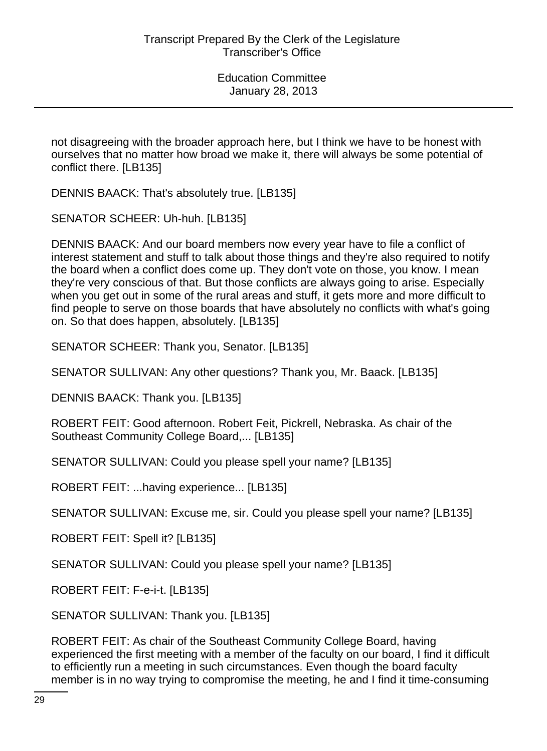not disagreeing with the broader approach here, but I think we have to be honest with ourselves that no matter how broad we make it, there will always be some potential of conflict there. [LB135]

DENNIS BAACK: That's absolutely true. [LB135]

SENATOR SCHEER: Uh-huh. [LB135]

DENNIS BAACK: And our board members now every year have to file a conflict of interest statement and stuff to talk about those things and they're also required to notify the board when a conflict does come up. They don't vote on those, you know. I mean they're very conscious of that. But those conflicts are always going to arise. Especially when you get out in some of the rural areas and stuff, it gets more and more difficult to find people to serve on those boards that have absolutely no conflicts with what's going on. So that does happen, absolutely. [LB135]

SENATOR SCHEER: Thank you, Senator. [LB135]

SENATOR SULLIVAN: Any other questions? Thank you, Mr. Baack. [LB135]

DENNIS BAACK: Thank you. [LB135]

ROBERT FEIT: Good afternoon. Robert Feit, Pickrell, Nebraska. As chair of the Southeast Community College Board,... [LB135]

SENATOR SULLIVAN: Could you please spell your name? [LB135]

ROBERT FEIT: ...having experience... [LB135]

SENATOR SULLIVAN: Excuse me, sir. Could you please spell your name? [LB135]

ROBERT FEIT: Spell it? [LB135]

SENATOR SULLIVAN: Could you please spell your name? [LB135]

ROBERT FEIT: F-e-i-t. [LB135]

SENATOR SULLIVAN: Thank you. [LB135]

ROBERT FEIT: As chair of the Southeast Community College Board, having experienced the first meeting with a member of the faculty on our board, I find it difficult to efficiently run a meeting in such circumstances. Even though the board faculty member is in no way trying to compromise the meeting, he and I find it time-consuming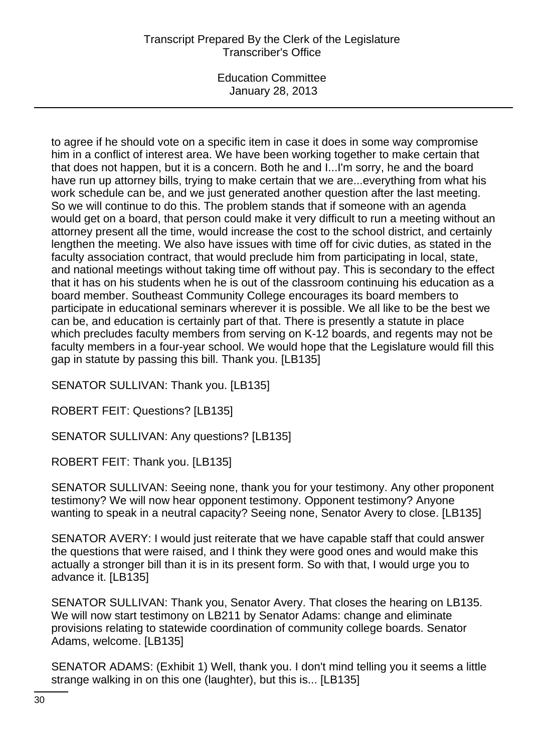# Transcript Prepared By the Clerk of the Legislature Transcriber's Office

Education Committee January 28, 2013

to agree if he should vote on a specific item in case it does in some way compromise him in a conflict of interest area. We have been working together to make certain that that does not happen, but it is a concern. Both he and I...I'm sorry, he and the board have run up attorney bills, trying to make certain that we are...everything from what his work schedule can be, and we just generated another question after the last meeting. So we will continue to do this. The problem stands that if someone with an agenda would get on a board, that person could make it very difficult to run a meeting without an attorney present all the time, would increase the cost to the school district, and certainly lengthen the meeting. We also have issues with time off for civic duties, as stated in the faculty association contract, that would preclude him from participating in local, state, and national meetings without taking time off without pay. This is secondary to the effect that it has on his students when he is out of the classroom continuing his education as a board member. Southeast Community College encourages its board members to participate in educational seminars wherever it is possible. We all like to be the best we can be, and education is certainly part of that. There is presently a statute in place which precludes faculty members from serving on K-12 boards, and regents may not be faculty members in a four-year school. We would hope that the Legislature would fill this gap in statute by passing this bill. Thank you. [LB135]

SENATOR SULLIVAN: Thank you. [LB135]

ROBERT FEIT: Questions? [LB135]

SENATOR SULLIVAN: Any questions? [LB135]

ROBERT FEIT: Thank you. [LB135]

SENATOR SULLIVAN: Seeing none, thank you for your testimony. Any other proponent testimony? We will now hear opponent testimony. Opponent testimony? Anyone wanting to speak in a neutral capacity? Seeing none, Senator Avery to close. [LB135]

SENATOR AVERY: I would just reiterate that we have capable staff that could answer the questions that were raised, and I think they were good ones and would make this actually a stronger bill than it is in its present form. So with that, I would urge you to advance it. [LB135]

SENATOR SULLIVAN: Thank you, Senator Avery. That closes the hearing on LB135. We will now start testimony on LB211 by Senator Adams: change and eliminate provisions relating to statewide coordination of community college boards. Senator Adams, welcome. [LB135]

SENATOR ADAMS: (Exhibit 1) Well, thank you. I don't mind telling you it seems a little strange walking in on this one (laughter), but this is... [LB135]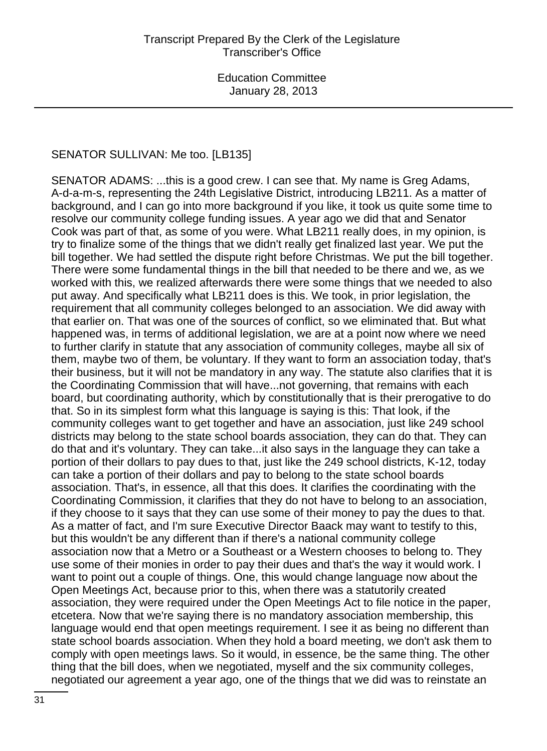#### SENATOR SULLIVAN: Me too. [LB135]

SENATOR ADAMS: ...this is a good crew. I can see that. My name is Greg Adams, A-d-a-m-s, representing the 24th Legislative District, introducing LB211. As a matter of background, and I can go into more background if you like, it took us quite some time to resolve our community college funding issues. A year ago we did that and Senator Cook was part of that, as some of you were. What LB211 really does, in my opinion, is try to finalize some of the things that we didn't really get finalized last year. We put the bill together. We had settled the dispute right before Christmas. We put the bill together. There were some fundamental things in the bill that needed to be there and we, as we worked with this, we realized afterwards there were some things that we needed to also put away. And specifically what LB211 does is this. We took, in prior legislation, the requirement that all community colleges belonged to an association. We did away with that earlier on. That was one of the sources of conflict, so we eliminated that. But what happened was, in terms of additional legislation, we are at a point now where we need to further clarify in statute that any association of community colleges, maybe all six of them, maybe two of them, be voluntary. If they want to form an association today, that's their business, but it will not be mandatory in any way. The statute also clarifies that it is the Coordinating Commission that will have...not governing, that remains with each board, but coordinating authority, which by constitutionally that is their prerogative to do that. So in its simplest form what this language is saying is this: That look, if the community colleges want to get together and have an association, just like 249 school districts may belong to the state school boards association, they can do that. They can do that and it's voluntary. They can take...it also says in the language they can take a portion of their dollars to pay dues to that, just like the 249 school districts, K-12, today can take a portion of their dollars and pay to belong to the state school boards association. That's, in essence, all that this does. It clarifies the coordinating with the Coordinating Commission, it clarifies that they do not have to belong to an association, if they choose to it says that they can use some of their money to pay the dues to that. As a matter of fact, and I'm sure Executive Director Baack may want to testify to this, but this wouldn't be any different than if there's a national community college association now that a Metro or a Southeast or a Western chooses to belong to. They use some of their monies in order to pay their dues and that's the way it would work. I want to point out a couple of things. One, this would change language now about the Open Meetings Act, because prior to this, when there was a statutorily created association, they were required under the Open Meetings Act to file notice in the paper, etcetera. Now that we're saying there is no mandatory association membership, this language would end that open meetings requirement. I see it as being no different than state school boards association. When they hold a board meeting, we don't ask them to comply with open meetings laws. So it would, in essence, be the same thing. The other thing that the bill does, when we negotiated, myself and the six community colleges, negotiated our agreement a year ago, one of the things that we did was to reinstate an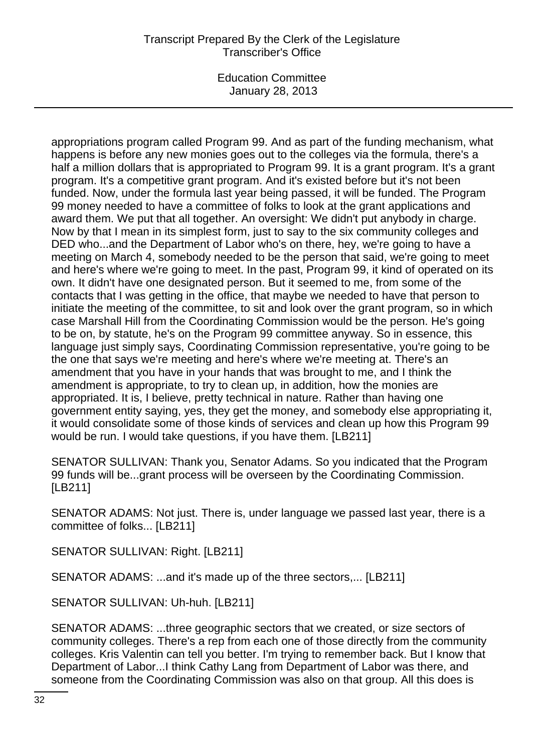# Transcript Prepared By the Clerk of the Legislature Transcriber's Office

Education Committee January 28, 2013

appropriations program called Program 99. And as part of the funding mechanism, what happens is before any new monies goes out to the colleges via the formula, there's a half a million dollars that is appropriated to Program 99. It is a grant program. It's a grant program. It's a competitive grant program. And it's existed before but it's not been funded. Now, under the formula last year being passed, it will be funded. The Program 99 money needed to have a committee of folks to look at the grant applications and award them. We put that all together. An oversight: We didn't put anybody in charge. Now by that I mean in its simplest form, just to say to the six community colleges and DED who...and the Department of Labor who's on there, hey, we're going to have a meeting on March 4, somebody needed to be the person that said, we're going to meet and here's where we're going to meet. In the past, Program 99, it kind of operated on its own. It didn't have one designated person. But it seemed to me, from some of the contacts that I was getting in the office, that maybe we needed to have that person to initiate the meeting of the committee, to sit and look over the grant program, so in which case Marshall Hill from the Coordinating Commission would be the person. He's going to be on, by statute, he's on the Program 99 committee anyway. So in essence, this language just simply says, Coordinating Commission representative, you're going to be the one that says we're meeting and here's where we're meeting at. There's an amendment that you have in your hands that was brought to me, and I think the amendment is appropriate, to try to clean up, in addition, how the monies are appropriated. It is, I believe, pretty technical in nature. Rather than having one government entity saying, yes, they get the money, and somebody else appropriating it, it would consolidate some of those kinds of services and clean up how this Program 99 would be run. I would take questions, if you have them. [LB211]

SENATOR SULLIVAN: Thank you, Senator Adams. So you indicated that the Program 99 funds will be...grant process will be overseen by the Coordinating Commission. [LB211]

SENATOR ADAMS: Not just. There is, under language we passed last year, there is a committee of folks... [LB211]

SENATOR SULLIVAN: Right. [LB211]

SENATOR ADAMS: ...and it's made up of the three sectors,... [LB211]

SENATOR SULLIVAN: Uh-huh. [LB211]

SENATOR ADAMS: ...three geographic sectors that we created, or size sectors of community colleges. There's a rep from each one of those directly from the community colleges. Kris Valentin can tell you better. I'm trying to remember back. But I know that Department of Labor...I think Cathy Lang from Department of Labor was there, and someone from the Coordinating Commission was also on that group. All this does is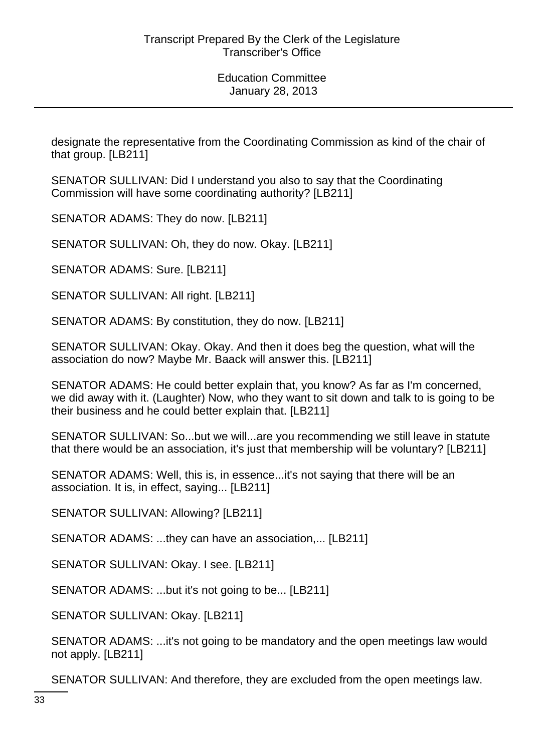designate the representative from the Coordinating Commission as kind of the chair of that group. [LB211]

SENATOR SULLIVAN: Did I understand you also to say that the Coordinating Commission will have some coordinating authority? [LB211]

SENATOR ADAMS: They do now. [LB211]

SENATOR SULLIVAN: Oh, they do now. Okay. [LB211]

SENATOR ADAMS: Sure. [LB211]

SENATOR SULLIVAN: All right. [LB211]

SENATOR ADAMS: By constitution, they do now. [LB211]

SENATOR SULLIVAN: Okay. Okay. And then it does beg the question, what will the association do now? Maybe Mr. Baack will answer this. [LB211]

SENATOR ADAMS: He could better explain that, you know? As far as I'm concerned, we did away with it. (Laughter) Now, who they want to sit down and talk to is going to be their business and he could better explain that. [LB211]

SENATOR SULLIVAN: So...but we will...are you recommending we still leave in statute that there would be an association, it's just that membership will be voluntary? [LB211]

SENATOR ADAMS: Well, this is, in essence...it's not saying that there will be an association. It is, in effect, saying... [LB211]

SENATOR SULLIVAN: Allowing? [LB211]

SENATOR ADAMS: ...they can have an association,... [LB211]

SENATOR SULLIVAN: Okay. I see. [LB211]

SENATOR ADAMS: ...but it's not going to be... [LB211]

SENATOR SULLIVAN: Okay. [LB211]

SENATOR ADAMS: ...it's not going to be mandatory and the open meetings law would not apply. [LB211]

SENATOR SULLIVAN: And therefore, they are excluded from the open meetings law.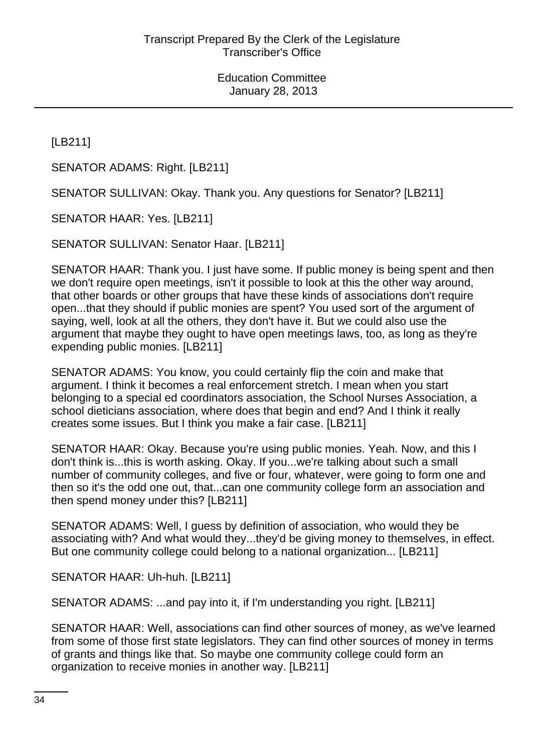[LB211]

SENATOR ADAMS: Right. [LB211]

SENATOR SULLIVAN: Okay. Thank you. Any questions for Senator? [LB211]

SENATOR HAAR: Yes. [LB211]

SENATOR SULLIVAN: Senator Haar. [LB211]

SENATOR HAAR: Thank you. I just have some. If public money is being spent and then we don't require open meetings, isn't it possible to look at this the other way around, that other boards or other groups that have these kinds of associations don't require open...that they should if public monies are spent? You used sort of the argument of saying, well, look at all the others, they don't have it. But we could also use the argument that maybe they ought to have open meetings laws, too, as long as they're expending public monies. [LB211]

SENATOR ADAMS: You know, you could certainly flip the coin and make that argument. I think it becomes a real enforcement stretch. I mean when you start belonging to a special ed coordinators association, the School Nurses Association, a school dieticians association, where does that begin and end? And I think it really creates some issues. But I think you make a fair case. [LB211]

SENATOR HAAR: Okay. Because you're using public monies. Yeah. Now, and this I don't think is...this is worth asking. Okay. If you...we're talking about such a small number of community colleges, and five or four, whatever, were going to form one and then so it's the odd one out, that...can one community college form an association and then spend money under this? [LB211]

SENATOR ADAMS: Well, I guess by definition of association, who would they be associating with? And what would they...they'd be giving money to themselves, in effect. But one community college could belong to a national organization... [LB211]

SENATOR HAAR: Uh-huh. [LB211]

SENATOR ADAMS: ...and pay into it, if I'm understanding you right. [LB211]

SENATOR HAAR: Well, associations can find other sources of money, as we've learned from some of those first state legislators. They can find other sources of money in terms of grants and things like that. So maybe one community college could form an organization to receive monies in another way. [LB211]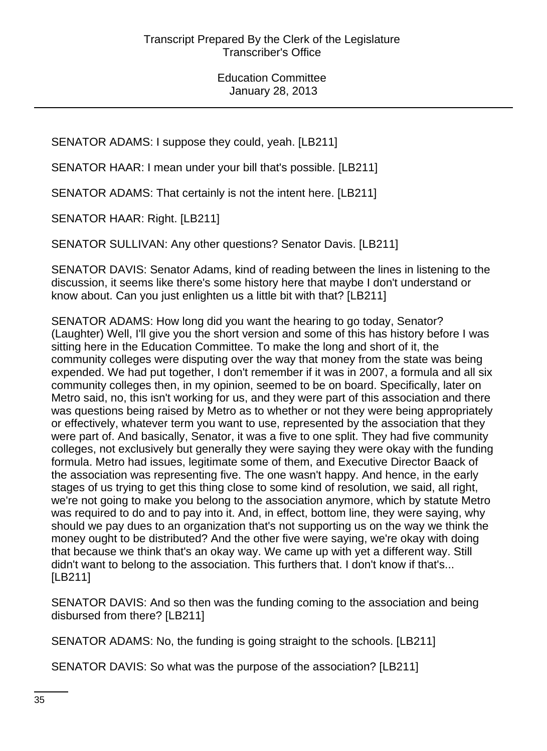SENATOR ADAMS: I suppose they could, yeah. [LB211]

SENATOR HAAR: I mean under your bill that's possible. [LB211]

SENATOR ADAMS: That certainly is not the intent here. [LB211]

SENATOR HAAR: Right. [LB211]

SENATOR SULLIVAN: Any other questions? Senator Davis. [LB211]

SENATOR DAVIS: Senator Adams, kind of reading between the lines in listening to the discussion, it seems like there's some history here that maybe I don't understand or know about. Can you just enlighten us a little bit with that? [LB211]

SENATOR ADAMS: How long did you want the hearing to go today, Senator? (Laughter) Well, I'll give you the short version and some of this has history before I was sitting here in the Education Committee. To make the long and short of it, the community colleges were disputing over the way that money from the state was being expended. We had put together, I don't remember if it was in 2007, a formula and all six community colleges then, in my opinion, seemed to be on board. Specifically, later on Metro said, no, this isn't working for us, and they were part of this association and there was questions being raised by Metro as to whether or not they were being appropriately or effectively, whatever term you want to use, represented by the association that they were part of. And basically, Senator, it was a five to one split. They had five community colleges, not exclusively but generally they were saying they were okay with the funding formula. Metro had issues, legitimate some of them, and Executive Director Baack of the association was representing five. The one wasn't happy. And hence, in the early stages of us trying to get this thing close to some kind of resolution, we said, all right, we're not going to make you belong to the association anymore, which by statute Metro was required to do and to pay into it. And, in effect, bottom line, they were saying, why should we pay dues to an organization that's not supporting us on the way we think the money ought to be distributed? And the other five were saying, we're okay with doing that because we think that's an okay way. We came up with yet a different way. Still didn't want to belong to the association. This furthers that. I don't know if that's... [LB211]

SENATOR DAVIS: And so then was the funding coming to the association and being disbursed from there? [LB211]

SENATOR ADAMS: No, the funding is going straight to the schools. [LB211]

SENATOR DAVIS: So what was the purpose of the association? [LB211]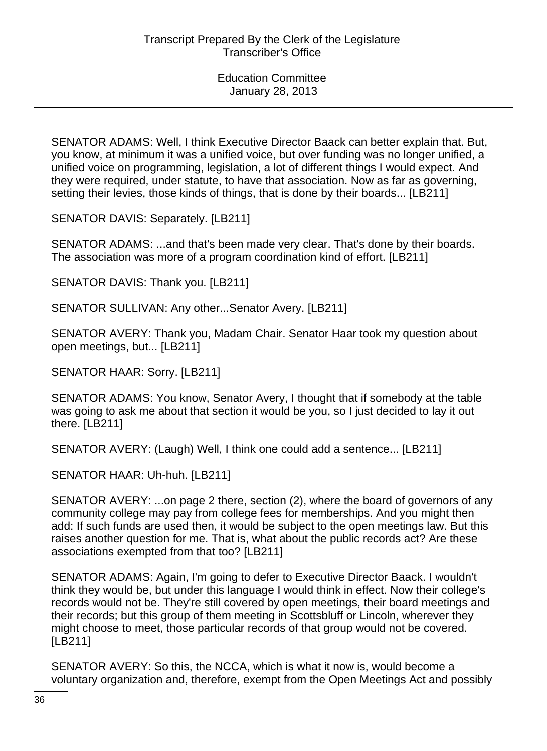SENATOR ADAMS: Well, I think Executive Director Baack can better explain that. But, you know, at minimum it was a unified voice, but over funding was no longer unified, a unified voice on programming, legislation, a lot of different things I would expect. And they were required, under statute, to have that association. Now as far as governing, setting their levies, those kinds of things, that is done by their boards... [LB211]

SENATOR DAVIS: Separately. [LB211]

SENATOR ADAMS: ...and that's been made very clear. That's done by their boards. The association was more of a program coordination kind of effort. [LB211]

SENATOR DAVIS: Thank you. [LB211]

SENATOR SULLIVAN: Any other...Senator Avery. [LB211]

SENATOR AVERY: Thank you, Madam Chair. Senator Haar took my question about open meetings, but... [LB211]

SENATOR HAAR: Sorry. [LB211]

SENATOR ADAMS: You know, Senator Avery, I thought that if somebody at the table was going to ask me about that section it would be you, so I just decided to lay it out there. [LB211]

SENATOR AVERY: (Laugh) Well, I think one could add a sentence... [LB211]

SENATOR HAAR: Uh-huh. [LB211]

SENATOR AVERY: ...on page 2 there, section (2), where the board of governors of any community college may pay from college fees for memberships. And you might then add: If such funds are used then, it would be subject to the open meetings law. But this raises another question for me. That is, what about the public records act? Are these associations exempted from that too? [LB211]

SENATOR ADAMS: Again, I'm going to defer to Executive Director Baack. I wouldn't think they would be, but under this language I would think in effect. Now their college's records would not be. They're still covered by open meetings, their board meetings and their records; but this group of them meeting in Scottsbluff or Lincoln, wherever they might choose to meet, those particular records of that group would not be covered. [LB211]

SENATOR AVERY: So this, the NCCA, which is what it now is, would become a voluntary organization and, therefore, exempt from the Open Meetings Act and possibly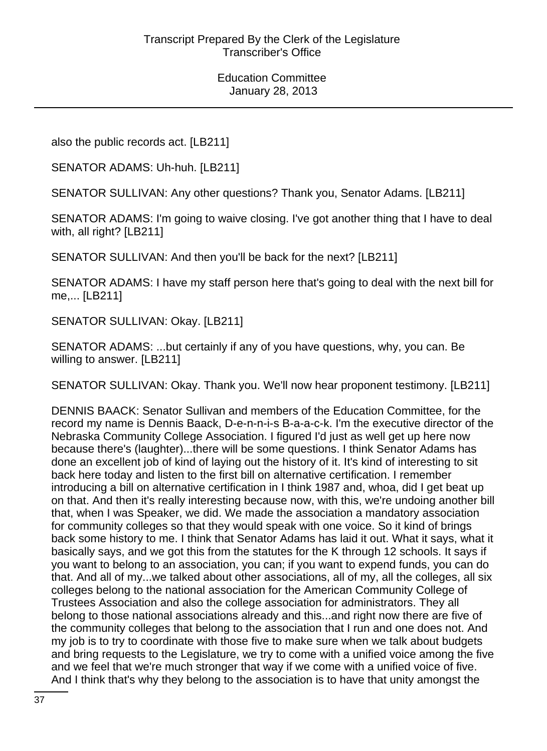also the public records act. [LB211]

SENATOR ADAMS: Uh-huh. [LB211]

SENATOR SULLIVAN: Any other questions? Thank you, Senator Adams. [LB211]

SENATOR ADAMS: I'm going to waive closing. I've got another thing that I have to deal with, all right? [LB211]

SENATOR SULLIVAN: And then you'll be back for the next? [LB211]

SENATOR ADAMS: I have my staff person here that's going to deal with the next bill for me,... [LB211]

SENATOR SULLIVAN: Okay. [LB211]

SENATOR ADAMS: ...but certainly if any of you have questions, why, you can. Be willing to answer. [LB211]

SENATOR SULLIVAN: Okay. Thank you. We'll now hear proponent testimony. [LB211]

DENNIS BAACK: Senator Sullivan and members of the Education Committee, for the record my name is Dennis Baack, D-e-n-n-i-s B-a-a-c-k. I'm the executive director of the Nebraska Community College Association. I figured I'd just as well get up here now because there's (laughter)...there will be some questions. I think Senator Adams has done an excellent job of kind of laying out the history of it. It's kind of interesting to sit back here today and listen to the first bill on alternative certification. I remember introducing a bill on alternative certification in I think 1987 and, whoa, did I get beat up on that. And then it's really interesting because now, with this, we're undoing another bill that, when I was Speaker, we did. We made the association a mandatory association for community colleges so that they would speak with one voice. So it kind of brings back some history to me. I think that Senator Adams has laid it out. What it says, what it basically says, and we got this from the statutes for the K through 12 schools. It says if you want to belong to an association, you can; if you want to expend funds, you can do that. And all of my...we talked about other associations, all of my, all the colleges, all six colleges belong to the national association for the American Community College of Trustees Association and also the college association for administrators. They all belong to those national associations already and this...and right now there are five of the community colleges that belong to the association that I run and one does not. And my job is to try to coordinate with those five to make sure when we talk about budgets and bring requests to the Legislature, we try to come with a unified voice among the five and we feel that we're much stronger that way if we come with a unified voice of five. And I think that's why they belong to the association is to have that unity amongst the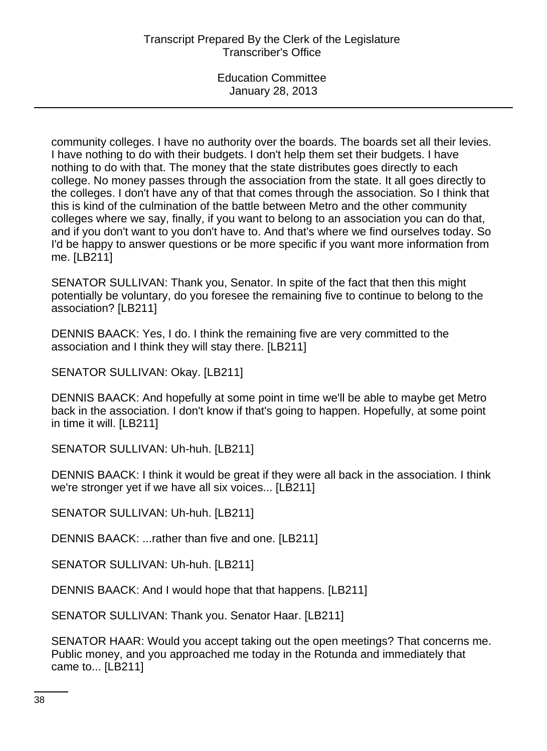community colleges. I have no authority over the boards. The boards set all their levies. I have nothing to do with their budgets. I don't help them set their budgets. I have nothing to do with that. The money that the state distributes goes directly to each college. No money passes through the association from the state. It all goes directly to the colleges. I don't have any of that that comes through the association. So I think that this is kind of the culmination of the battle between Metro and the other community colleges where we say, finally, if you want to belong to an association you can do that, and if you don't want to you don't have to. And that's where we find ourselves today. So I'd be happy to answer questions or be more specific if you want more information from me. [LB211]

SENATOR SULLIVAN: Thank you, Senator. In spite of the fact that then this might potentially be voluntary, do you foresee the remaining five to continue to belong to the association? [LB211]

DENNIS BAACK: Yes, I do. I think the remaining five are very committed to the association and I think they will stay there. [LB211]

SENATOR SULLIVAN: Okay. [LB211]

DENNIS BAACK: And hopefully at some point in time we'll be able to maybe get Metro back in the association. I don't know if that's going to happen. Hopefully, at some point in time it will. [LB211]

SENATOR SULLIVAN: Uh-huh. [LB211]

DENNIS BAACK: I think it would be great if they were all back in the association. I think we're stronger yet if we have all six voices... [LB211]

SENATOR SULLIVAN: Uh-huh. [LB211]

DENNIS BAACK: ...rather than five and one. [LB211]

SENATOR SULLIVAN: Uh-huh. [LB211]

DENNIS BAACK: And I would hope that that happens. [LB211]

SENATOR SULLIVAN: Thank you. Senator Haar. [LB211]

SENATOR HAAR: Would you accept taking out the open meetings? That concerns me. Public money, and you approached me today in the Rotunda and immediately that came to... [LB211]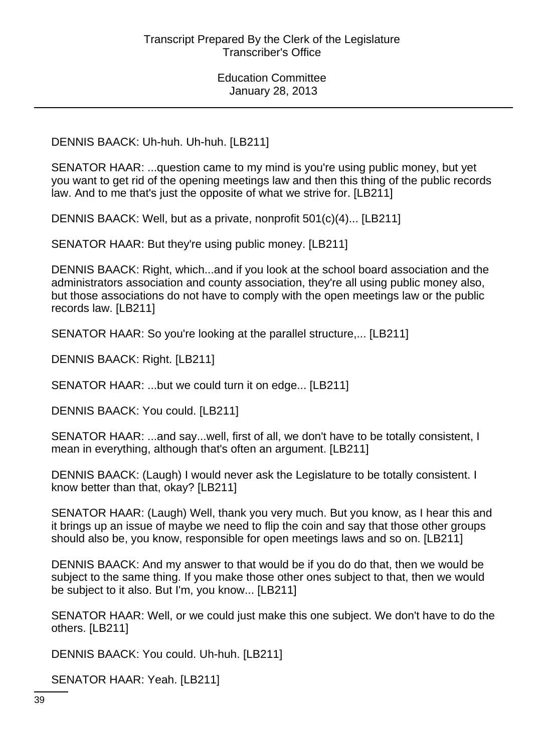DENNIS BAACK: Uh-huh. Uh-huh. [LB211]

SENATOR HAAR: ...question came to my mind is you're using public money, but yet you want to get rid of the opening meetings law and then this thing of the public records law. And to me that's just the opposite of what we strive for. [LB211]

DENNIS BAACK: Well, but as a private, nonprofit 501(c)(4)... [LB211]

SENATOR HAAR: But they're using public money. [LB211]

DENNIS BAACK: Right, which...and if you look at the school board association and the administrators association and county association, they're all using public money also, but those associations do not have to comply with the open meetings law or the public records law. [LB211]

SENATOR HAAR: So you're looking at the parallel structure,... [LB211]

DENNIS BAACK: Right. [LB211]

SENATOR HAAR: ...but we could turn it on edge... [LB211]

DENNIS BAACK: You could. [LB211]

SENATOR HAAR: ...and say...well, first of all, we don't have to be totally consistent, I mean in everything, although that's often an argument. [LB211]

DENNIS BAACK: (Laugh) I would never ask the Legislature to be totally consistent. I know better than that, okay? [LB211]

SENATOR HAAR: (Laugh) Well, thank you very much. But you know, as I hear this and it brings up an issue of maybe we need to flip the coin and say that those other groups should also be, you know, responsible for open meetings laws and so on. [LB211]

DENNIS BAACK: And my answer to that would be if you do do that, then we would be subject to the same thing. If you make those other ones subject to that, then we would be subject to it also. But I'm, you know... [LB211]

SENATOR HAAR: Well, or we could just make this one subject. We don't have to do the others. [LB211]

DENNIS BAACK: You could. Uh-huh. [LB211]

SENATOR HAAR: Yeah. [LB211]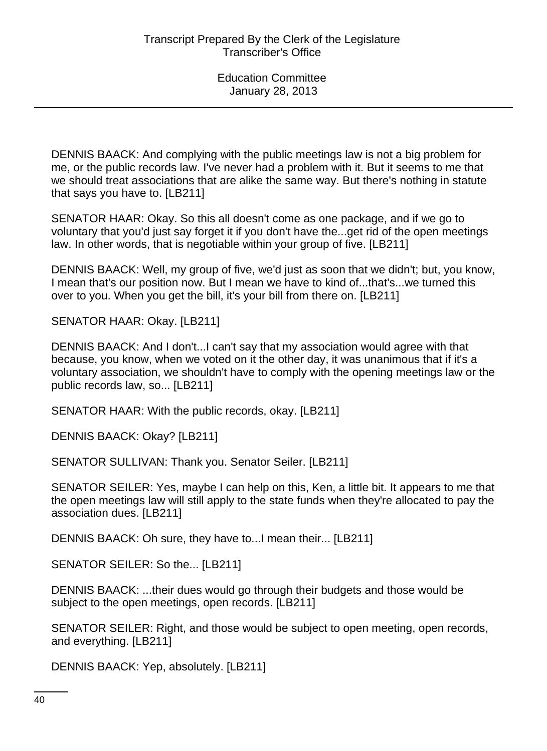DENNIS BAACK: And complying with the public meetings law is not a big problem for me, or the public records law. I've never had a problem with it. But it seems to me that we should treat associations that are alike the same way. But there's nothing in statute that says you have to. [LB211]

SENATOR HAAR: Okay. So this all doesn't come as one package, and if we go to voluntary that you'd just say forget it if you don't have the...get rid of the open meetings law. In other words, that is negotiable within your group of five. [LB211]

DENNIS BAACK: Well, my group of five, we'd just as soon that we didn't; but, you know, I mean that's our position now. But I mean we have to kind of...that's...we turned this over to you. When you get the bill, it's your bill from there on. [LB211]

SENATOR HAAR: Okay. [LB211]

DENNIS BAACK: And I don't...I can't say that my association would agree with that because, you know, when we voted on it the other day, it was unanimous that if it's a voluntary association, we shouldn't have to comply with the opening meetings law or the public records law, so... [LB211]

SENATOR HAAR: With the public records, okay. [LB211]

DENNIS BAACK: Okay? [LB211]

SENATOR SULLIVAN: Thank you. Senator Seiler. [LB211]

SENATOR SEILER: Yes, maybe I can help on this, Ken, a little bit. It appears to me that the open meetings law will still apply to the state funds when they're allocated to pay the association dues. [LB211]

DENNIS BAACK: Oh sure, they have to...I mean their... [LB211]

SENATOR SEILER: So the... [LB211]

DENNIS BAACK: ...their dues would go through their budgets and those would be subject to the open meetings, open records. [LB211]

SENATOR SEILER: Right, and those would be subject to open meeting, open records, and everything. [LB211]

DENNIS BAACK: Yep, absolutely. [LB211]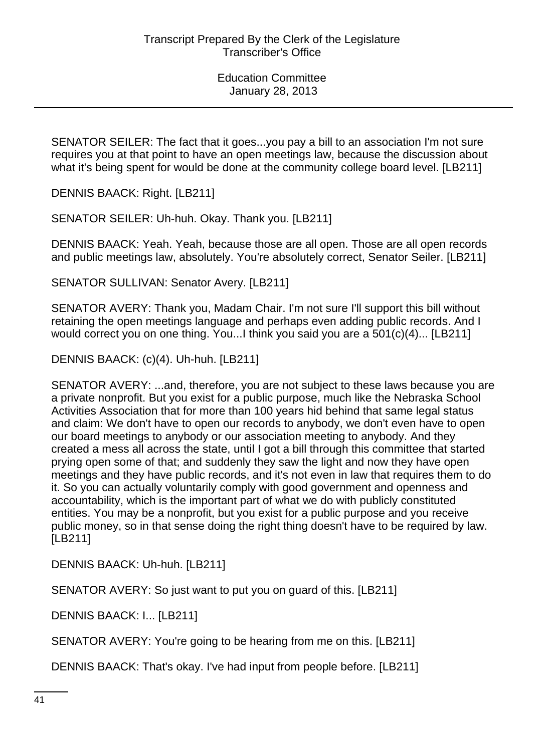SENATOR SEILER: The fact that it goes...you pay a bill to an association I'm not sure requires you at that point to have an open meetings law, because the discussion about what it's being spent for would be done at the community college board level. [LB211]

DENNIS BAACK: Right. [LB211]

SENATOR SEILER: Uh-huh. Okay. Thank you. [LB211]

DENNIS BAACK: Yeah. Yeah, because those are all open. Those are all open records and public meetings law, absolutely. You're absolutely correct, Senator Seiler. [LB211]

SENATOR SULLIVAN: Senator Avery. [LB211]

SENATOR AVERY: Thank you, Madam Chair. I'm not sure I'll support this bill without retaining the open meetings language and perhaps even adding public records. And I would correct you on one thing. You...I think you said you are a 501(c)(4)... [LB211]

DENNIS BAACK: (c)(4). Uh-huh. [LB211]

SENATOR AVERY: ...and, therefore, you are not subject to these laws because you are a private nonprofit. But you exist for a public purpose, much like the Nebraska School Activities Association that for more than 100 years hid behind that same legal status and claim: We don't have to open our records to anybody, we don't even have to open our board meetings to anybody or our association meeting to anybody. And they created a mess all across the state, until I got a bill through this committee that started prying open some of that; and suddenly they saw the light and now they have open meetings and they have public records, and it's not even in law that requires them to do it. So you can actually voluntarily comply with good government and openness and accountability, which is the important part of what we do with publicly constituted entities. You may be a nonprofit, but you exist for a public purpose and you receive public money, so in that sense doing the right thing doesn't have to be required by law. [LB211]

DENNIS BAACK: Uh-huh. [LB211]

SENATOR AVERY: So just want to put you on guard of this. [LB211]

DENNIS BAACK: I... [LB211]

SENATOR AVERY: You're going to be hearing from me on this. [LB211]

DENNIS BAACK: That's okay. I've had input from people before. [LB211]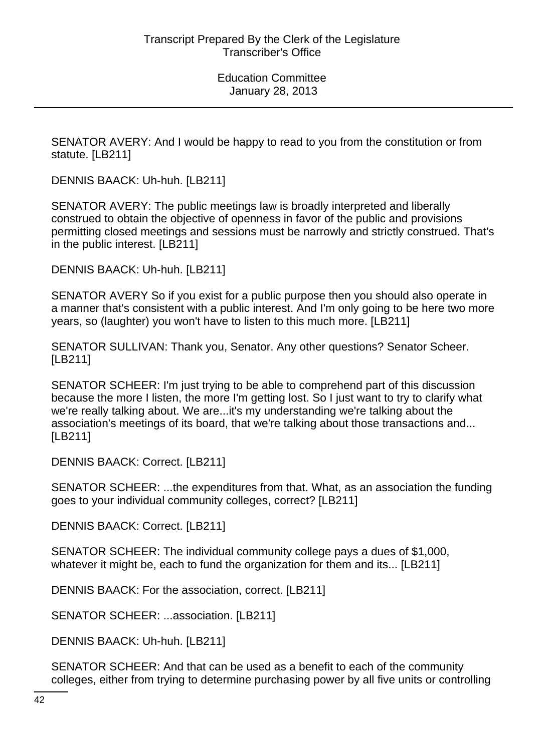SENATOR AVERY: And I would be happy to read to you from the constitution or from statute. [LB211]

DENNIS BAACK: Uh-huh. [LB211]

SENATOR AVERY: The public meetings law is broadly interpreted and liberally construed to obtain the objective of openness in favor of the public and provisions permitting closed meetings and sessions must be narrowly and strictly construed. That's in the public interest. [LB211]

DENNIS BAACK: Uh-huh. [LB211]

SENATOR AVERY So if you exist for a public purpose then you should also operate in a manner that's consistent with a public interest. And I'm only going to be here two more years, so (laughter) you won't have to listen to this much more. [LB211]

SENATOR SULLIVAN: Thank you, Senator. Any other questions? Senator Scheer. [LB211]

SENATOR SCHEER: I'm just trying to be able to comprehend part of this discussion because the more I listen, the more I'm getting lost. So I just want to try to clarify what we're really talking about. We are...it's my understanding we're talking about the association's meetings of its board, that we're talking about those transactions and... [LB211]

DENNIS BAACK: Correct. [LB211]

SENATOR SCHEER: ...the expenditures from that. What, as an association the funding goes to your individual community colleges, correct? [LB211]

DENNIS BAACK: Correct. [LB211]

SENATOR SCHEER: The individual community college pays a dues of \$1,000, whatever it might be, each to fund the organization for them and its... [LB211]

DENNIS BAACK: For the association, correct. [LB211]

SENATOR SCHEER: ...association. [LB211]

DENNIS BAACK: Uh-huh. [LB211]

SENATOR SCHEER: And that can be used as a benefit to each of the community colleges, either from trying to determine purchasing power by all five units or controlling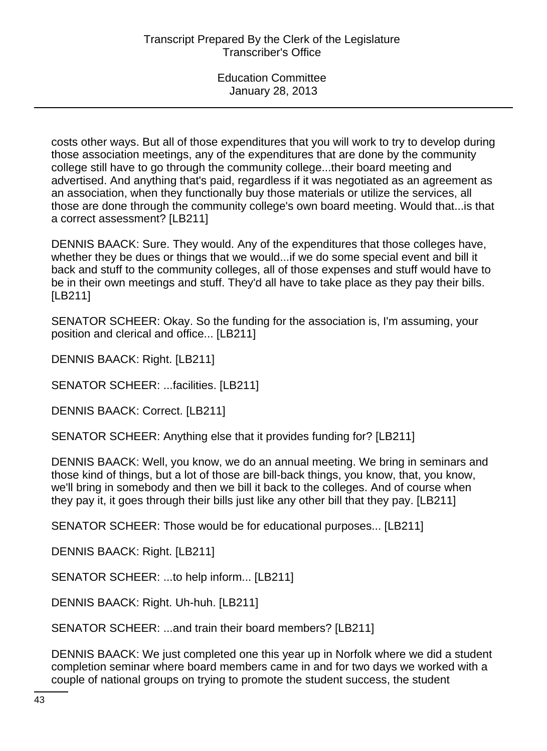costs other ways. But all of those expenditures that you will work to try to develop during those association meetings, any of the expenditures that are done by the community college still have to go through the community college...their board meeting and advertised. And anything that's paid, regardless if it was negotiated as an agreement as an association, when they functionally buy those materials or utilize the services, all those are done through the community college's own board meeting. Would that...is that a correct assessment? [LB211]

DENNIS BAACK: Sure. They would. Any of the expenditures that those colleges have, whether they be dues or things that we would...if we do some special event and bill it back and stuff to the community colleges, all of those expenses and stuff would have to be in their own meetings and stuff. They'd all have to take place as they pay their bills. [LB211]

SENATOR SCHEER: Okay. So the funding for the association is, I'm assuming, your position and clerical and office... [LB211]

DENNIS BAACK: Right. [LB211]

SENATOR SCHEER: ...facilities. [LB211]

DENNIS BAACK: Correct. [LB211]

SENATOR SCHEER: Anything else that it provides funding for? [LB211]

DENNIS BAACK: Well, you know, we do an annual meeting. We bring in seminars and those kind of things, but a lot of those are bill-back things, you know, that, you know, we'll bring in somebody and then we bill it back to the colleges. And of course when they pay it, it goes through their bills just like any other bill that they pay. [LB211]

SENATOR SCHEER: Those would be for educational purposes... [LB211]

DENNIS BAACK: Right. [LB211]

SENATOR SCHEER: ...to help inform... [LB211]

DENNIS BAACK: Right. Uh-huh. [LB211]

SENATOR SCHEER: ...and train their board members? [LB211]

DENNIS BAACK: We just completed one this year up in Norfolk where we did a student completion seminar where board members came in and for two days we worked with a couple of national groups on trying to promote the student success, the student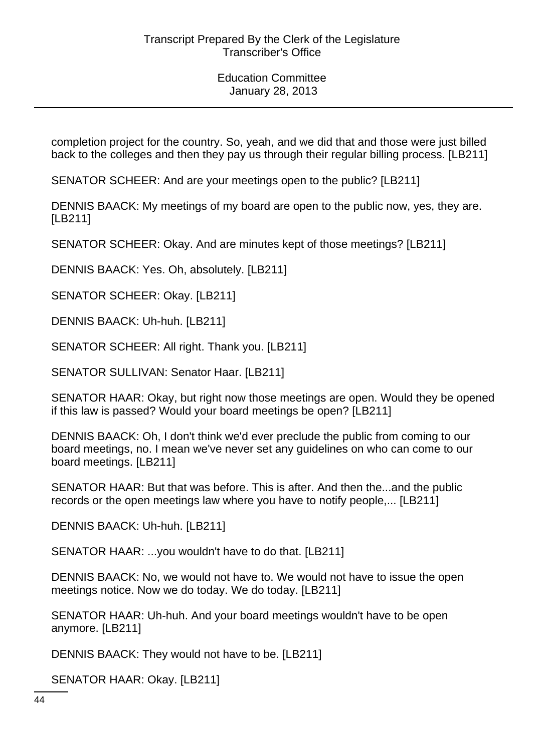completion project for the country. So, yeah, and we did that and those were just billed back to the colleges and then they pay us through their regular billing process. [LB211]

SENATOR SCHEER: And are your meetings open to the public? [LB211]

DENNIS BAACK: My meetings of my board are open to the public now, yes, they are. [LB211]

SENATOR SCHEER: Okay. And are minutes kept of those meetings? [LB211]

DENNIS BAACK: Yes. Oh, absolutely. [LB211]

SENATOR SCHEER: Okay. [LB211]

DENNIS BAACK: Uh-huh. [LB211]

SENATOR SCHEER: All right. Thank you. [LB211]

SENATOR SULLIVAN: Senator Haar. [LB211]

SENATOR HAAR: Okay, but right now those meetings are open. Would they be opened if this law is passed? Would your board meetings be open? [LB211]

DENNIS BAACK: Oh, I don't think we'd ever preclude the public from coming to our board meetings, no. I mean we've never set any guidelines on who can come to our board meetings. [LB211]

SENATOR HAAR: But that was before. This is after. And then the...and the public records or the open meetings law where you have to notify people,... [LB211]

DENNIS BAACK: Uh-huh. [LB211]

SENATOR HAAR: ...you wouldn't have to do that. [LB211]

DENNIS BAACK: No, we would not have to. We would not have to issue the open meetings notice. Now we do today. We do today. [LB211]

SENATOR HAAR: Uh-huh. And your board meetings wouldn't have to be open anymore. [LB211]

DENNIS BAACK: They would not have to be. [LB211]

SENATOR HAAR: Okay. [LB211]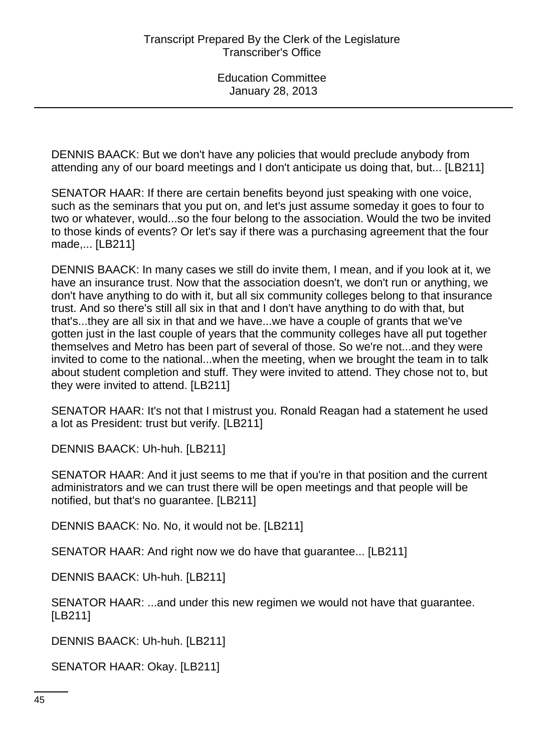DENNIS BAACK: But we don't have any policies that would preclude anybody from attending any of our board meetings and I don't anticipate us doing that, but... [LB211]

SENATOR HAAR: If there are certain benefits beyond just speaking with one voice, such as the seminars that you put on, and let's just assume someday it goes to four to two or whatever, would...so the four belong to the association. Would the two be invited to those kinds of events? Or let's say if there was a purchasing agreement that the four made,... [LB211]

DENNIS BAACK: In many cases we still do invite them, I mean, and if you look at it, we have an insurance trust. Now that the association doesn't, we don't run or anything, we don't have anything to do with it, but all six community colleges belong to that insurance trust. And so there's still all six in that and I don't have anything to do with that, but that's...they are all six in that and we have...we have a couple of grants that we've gotten just in the last couple of years that the community colleges have all put together themselves and Metro has been part of several of those. So we're not...and they were invited to come to the national...when the meeting, when we brought the team in to talk about student completion and stuff. They were invited to attend. They chose not to, but they were invited to attend. [LB211]

SENATOR HAAR: It's not that I mistrust you. Ronald Reagan had a statement he used a lot as President: trust but verify. [LB211]

DENNIS BAACK: Uh-huh. [LB211]

SENATOR HAAR: And it just seems to me that if you're in that position and the current administrators and we can trust there will be open meetings and that people will be notified, but that's no guarantee. [LB211]

DENNIS BAACK: No. No, it would not be. [LB211]

SENATOR HAAR: And right now we do have that guarantee... [LB211]

DENNIS BAACK: Uh-huh. [LB211]

SENATOR HAAR: ...and under this new regimen we would not have that guarantee. [LB211]

DENNIS BAACK: Uh-huh. [LB211]

SENATOR HAAR: Okay. [LB211]